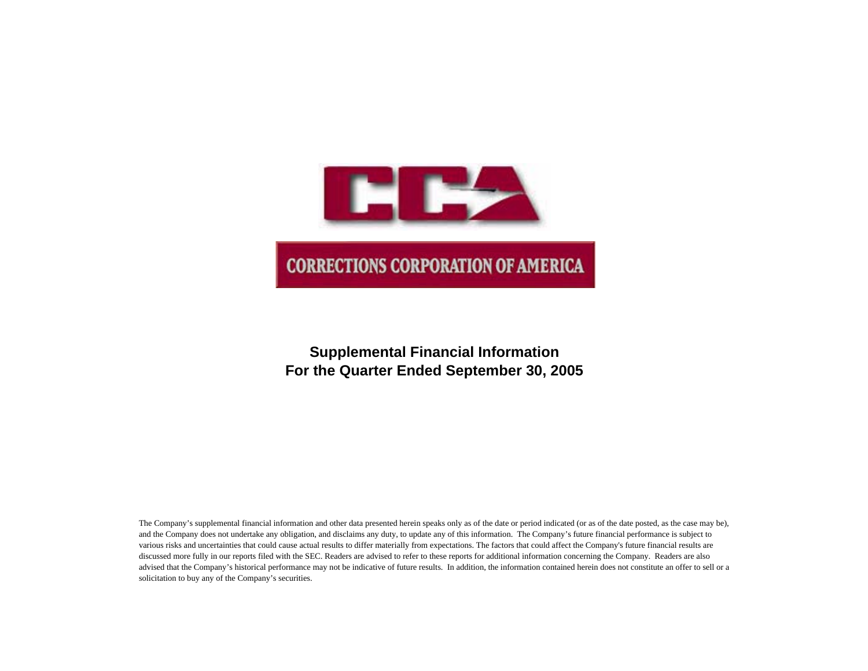

# **Supplemental Financial Information For the Quarter Ended September 30, 2005**

The Company's supplemental financial information and other data presented herein speaks only as of the date or period indicated (or as of the date posted, as the case may be), and the Company does not undertake any obligation, and disclaims any duty, to update any of this information. The Company's future financial performance is subject to various risks and uncertainties that could cause actual results to differ materially from expectations. The factors that could affect the Company's future financial results are discussed more fully in our reports filed with the SEC. Readers are advised to refer to these reports for additional information concerning the Company. Readers are also advised that the Company's historical performance may not be indicative of future results. In addition, the information contained herein does not constitute an offer to sell or a solicitation to buy any of the Company's securities.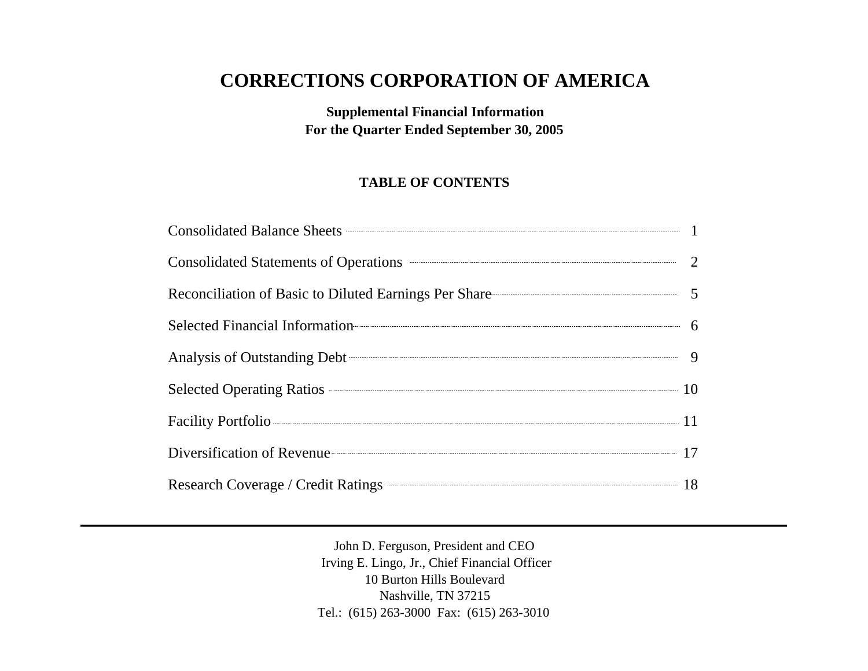# **CORRECTIONS CORPORATION OF AMERICA**

**Supplemental Financial Information For the Quarter Ended September 30, 2005**

## **TABLE OF CONTENTS**

| Consolidated Balance Sheets <b>Consolidated</b> Balance Sheets <b>Consolidated</b> Balance Sheets <b>Consolidated</b> Balance Sheets <b>Consolidated</b> 1 |  |
|------------------------------------------------------------------------------------------------------------------------------------------------------------|--|
| Consolidated Statements of Operations <b>CONSUMER 2</b>                                                                                                    |  |
| Reconciliation of Basic to Diluted Earnings Per Share 5                                                                                                    |  |
| Selected Financial Information 6                                                                                                                           |  |
| Analysis of Outstanding Debt 9                                                                                                                             |  |
| Selected Operating Ratios 2008 2009 10                                                                                                                     |  |
| Facility Portfolio 11                                                                                                                                      |  |
| Diversification of Revenue 17                                                                                                                              |  |
| Research Coverage / Credit Ratings – 18                                                                                                                    |  |

John D. Ferguson, President and CEO Irving E. Lingo, Jr., Chief Financial Officer 10 Burton Hills Boulevard Nashville, TN 37215 Tel.: (615) 263-3000 Fax: (615) 263-3010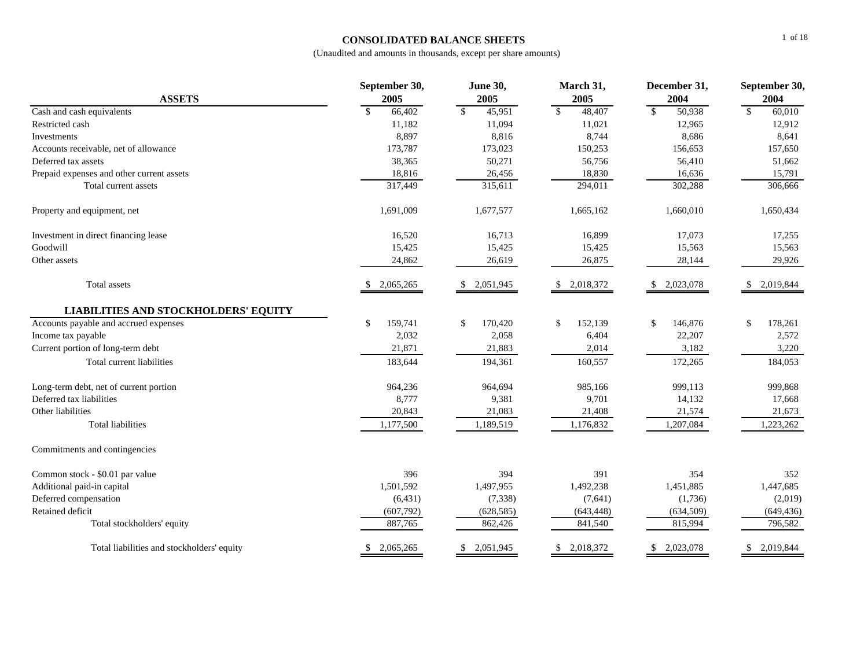## **CONSOLIDATED BALANCE SHEETS**

|                                             | September 30,          | <b>June 30,</b>          | March 31,               | December 31,           | September 30,          |
|---------------------------------------------|------------------------|--------------------------|-------------------------|------------------------|------------------------|
| <b>ASSETS</b>                               | 2005                   | 2005                     | 2005                    | 2004                   | 2004                   |
| Cash and cash equivalents                   | $\mathbb{S}$<br>66,402 | $\sqrt{\ }$<br>45,951    | $\mathsf{\$}$<br>48,407 | $\mathbb{S}$<br>50,938 | $\mathbb{S}$<br>60,010 |
| Restricted cash                             | 11,182                 | 11,094                   | 11,021                  | 12,965                 | 12,912                 |
| Investments                                 | 8,897                  | 8,816                    | 8,744                   | 8,686                  | 8,641                  |
| Accounts receivable, net of allowance       | 173,787                | 173,023                  | 150,253                 | 156,653                | 157,650                |
| Deferred tax assets                         | 38,365                 | 50,271                   | 56,756                  | 56,410                 | 51,662                 |
| Prepaid expenses and other current assets   | 18,816                 | 26,456                   | 18,830                  | 16,636                 | 15,791                 |
| Total current assets                        | 317,449                | 315,611                  | 294,011                 | 302,288                | 306,666                |
| Property and equipment, net                 | 1,691,009              | 1,677,577                | 1,665,162               | 1,660,010              | 1,650,434              |
| Investment in direct financing lease        | 16,520                 | 16,713                   | 16,899                  | 17,073                 | 17,255                 |
| Goodwill                                    | 15,425                 | 15,425                   | 15,425                  | 15,563                 | 15,563                 |
| Other assets                                | 24,862                 | 26,619                   | 26,875                  | 28,144                 | 29,926                 |
| Total assets                                | 2,065,265              | 2,051,945<br>\$          | 2,018,372               | 2,023,078              | 2,019,844              |
| <b>LIABILITIES AND STOCKHOLDERS' EQUITY</b> |                        |                          |                         |                        |                        |
| Accounts payable and accrued expenses       | \$<br>159,741          | 170,420<br>$\mathcal{S}$ | 152,139<br>\$           | 146,876<br>\$          | \$<br>178,261          |
| Income tax payable                          | 2,032                  | 2,058                    | 6,404                   | 22,207                 | 2,572                  |
| Current portion of long-term debt           | 21,871                 | 21,883                   | 2,014                   | 3,182                  | 3,220                  |
| Total current liabilities                   | 183,644                | 194,361                  | 160,557                 | 172,265                | 184,053                |
| Long-term debt, net of current portion      | 964,236                | 964,694                  | 985,166                 | 999,113                | 999,868                |
| Deferred tax liabilities                    | 8,777                  | 9,381                    | 9,701                   | 14,132                 | 17,668                 |
| Other liabilities                           | 20,843                 | 21,083                   | 21,408                  | 21,574                 | 21,673                 |
| <b>Total liabilities</b>                    | 1,177,500              | 1,189,519                | 1,176,832               | 1,207,084              | 1,223,262              |
| Commitments and contingencies               |                        |                          |                         |                        |                        |
| Common stock - \$0.01 par value             | 396                    | 394                      | 391                     | 354                    | 352                    |
| Additional paid-in capital                  | 1,501,592              | 1,497,955                | 1,492,238               | 1,451,885              | 1,447,685              |
| Deferred compensation                       | (6, 431)               | (7, 338)                 | (7,641)                 | (1,736)                | (2,019)                |
| Retained deficit                            | (607,792)              | (628, 585)               | (643, 448)              | (634, 509)             | (649, 436)             |
| Total stockholders' equity                  | 887,765                | 862,426                  | 841,540                 | 815,994                | 796,582                |
| Total liabilities and stockholders' equity  | 2,065,265              | 2,051,945<br>\$.         | 2,018,372<br>\$.        | 2,023,078              | 2,019,844<br>\$.       |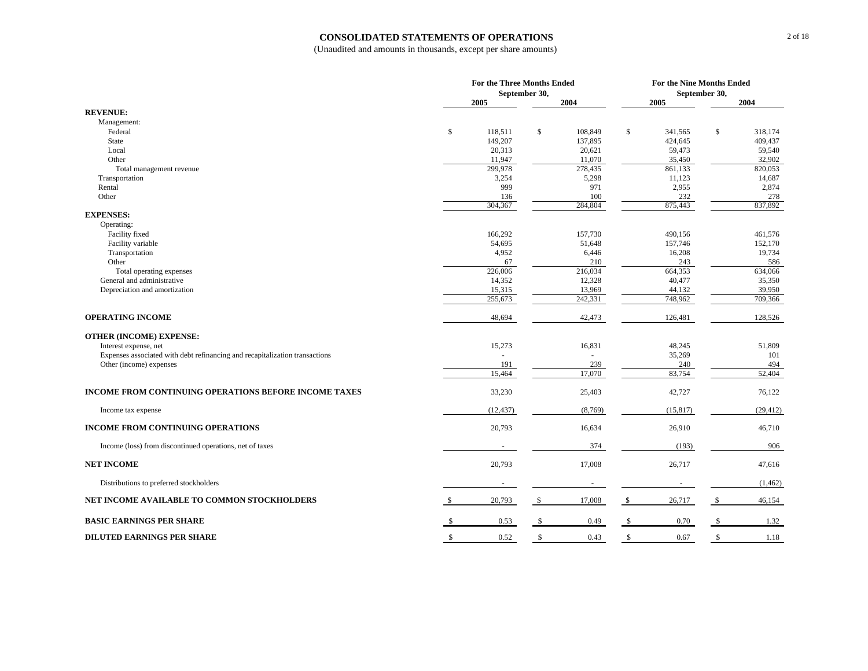#### **CONSOLIDATED STATEMENTS OF OPERATIONS**

| September 30,<br>September 30,<br>2005<br>2004<br>2005<br>2004<br><b>REVENUE:</b><br>Management:<br>Federal<br>\$<br>118,511<br>\$<br>108,849<br>\$<br>341,565<br>\$<br>318.174<br>149,207<br>137,895<br>424,645<br>409,437<br>State<br>Local<br>20,313<br>20,621<br>59,473<br>59,540<br>11,070<br>35,450<br>32,902<br>Other<br>11,947<br>299,978<br>278,435<br>861,133<br>820,053<br>Total management revenue<br>3,254<br>5,298<br>11,123<br>14,687<br>Transportation<br>999<br>971<br>2,955<br>2,874<br>Rental<br>100<br>232<br>278<br>Other<br>136<br>304,367<br>284,804<br>875,443<br>837,892<br><b>EXPENSES:</b><br>Operating:<br>Facility fixed<br>166,292<br>157,730<br>490,156<br>461,576<br>Facility variable<br>54,695<br>51,648<br>157,746<br>152,170<br>4,952<br>16,208<br>19,734<br>Transportation<br>6,446<br>Other<br>67<br>210<br>243<br>586<br>216,034<br>664,353<br>226,006<br>634,066<br>Total operating expenses<br>General and administrative<br>40,477<br>35,350<br>14,352<br>12,328<br>Depreciation and amortization<br>15,315<br>13,969<br>44,132<br>39,950<br>242,331<br>255,673<br>748,962<br>709,366<br><b>OPERATING INCOME</b><br>48,694<br>42,473<br>126,481<br>128,526<br><b>OTHER (INCOME) EXPENSE:</b><br>15,273<br>16,831<br>48,245<br>51,809<br>Interest expense, net<br>Expenses associated with debt refinancing and recapitalization transactions<br>35,269<br>101<br>239<br>240<br>494<br>Other (income) expenses<br>191<br>83,754<br>52,404<br>15,464<br>17,070<br>INCOME FROM CONTINUING OPERATIONS BEFORE INCOME TAXES<br>33,230<br>42,727<br>76,122<br>25,403<br>(12, 437)<br>(8,769)<br>(15, 817)<br>(29, 412)<br>Income tax expense<br><b>INCOME FROM CONTINUING OPERATIONS</b><br>20,793<br>16,634<br>26,910<br>46,710<br>374<br>(193)<br>906<br>Income (loss) from discontinued operations, net of taxes<br><b>NET INCOME</b><br>20,793<br>17,008<br>26,717<br>47,616<br>Distributions to preferred stockholders<br>(1, 462)<br>$\sim$<br>$\overline{\phantom{a}}$<br>NET INCOME AVAILABLE TO COMMON STOCKHOLDERS<br>20,793<br>17,008<br>26,717<br>\$<br>\$<br>46,154<br>-S<br><b>BASIC EARNINGS PER SHARE</b><br>0.53<br>0.49<br>0.70<br>\$<br>S.<br>1.32 |                                   | For the Three Months Ended |            | For the Nine Months Ended |      |              |      |  |
|----------------------------------------------------------------------------------------------------------------------------------------------------------------------------------------------------------------------------------------------------------------------------------------------------------------------------------------------------------------------------------------------------------------------------------------------------------------------------------------------------------------------------------------------------------------------------------------------------------------------------------------------------------------------------------------------------------------------------------------------------------------------------------------------------------------------------------------------------------------------------------------------------------------------------------------------------------------------------------------------------------------------------------------------------------------------------------------------------------------------------------------------------------------------------------------------------------------------------------------------------------------------------------------------------------------------------------------------------------------------------------------------------------------------------------------------------------------------------------------------------------------------------------------------------------------------------------------------------------------------------------------------------------------------------------------------------------------------------------------------------------------------------------------------------------------------------------------------------------------------------------------------------------------------------------------------------------------------------------------------------------------------------------------------------------------------------------------------------------------------------------------------------------------------------------------------------------|-----------------------------------|----------------------------|------------|---------------------------|------|--------------|------|--|
|                                                                                                                                                                                                                                                                                                                                                                                                                                                                                                                                                                                                                                                                                                                                                                                                                                                                                                                                                                                                                                                                                                                                                                                                                                                                                                                                                                                                                                                                                                                                                                                                                                                                                                                                                                                                                                                                                                                                                                                                                                                                                                                                                                                                          |                                   |                            |            |                           |      |              |      |  |
|                                                                                                                                                                                                                                                                                                                                                                                                                                                                                                                                                                                                                                                                                                                                                                                                                                                                                                                                                                                                                                                                                                                                                                                                                                                                                                                                                                                                                                                                                                                                                                                                                                                                                                                                                                                                                                                                                                                                                                                                                                                                                                                                                                                                          |                                   |                            |            |                           |      |              |      |  |
|                                                                                                                                                                                                                                                                                                                                                                                                                                                                                                                                                                                                                                                                                                                                                                                                                                                                                                                                                                                                                                                                                                                                                                                                                                                                                                                                                                                                                                                                                                                                                                                                                                                                                                                                                                                                                                                                                                                                                                                                                                                                                                                                                                                                          |                                   |                            |            |                           |      |              |      |  |
|                                                                                                                                                                                                                                                                                                                                                                                                                                                                                                                                                                                                                                                                                                                                                                                                                                                                                                                                                                                                                                                                                                                                                                                                                                                                                                                                                                                                                                                                                                                                                                                                                                                                                                                                                                                                                                                                                                                                                                                                                                                                                                                                                                                                          |                                   |                            |            |                           |      |              |      |  |
|                                                                                                                                                                                                                                                                                                                                                                                                                                                                                                                                                                                                                                                                                                                                                                                                                                                                                                                                                                                                                                                                                                                                                                                                                                                                                                                                                                                                                                                                                                                                                                                                                                                                                                                                                                                                                                                                                                                                                                                                                                                                                                                                                                                                          |                                   |                            |            |                           |      |              |      |  |
|                                                                                                                                                                                                                                                                                                                                                                                                                                                                                                                                                                                                                                                                                                                                                                                                                                                                                                                                                                                                                                                                                                                                                                                                                                                                                                                                                                                                                                                                                                                                                                                                                                                                                                                                                                                                                                                                                                                                                                                                                                                                                                                                                                                                          |                                   |                            |            |                           |      |              |      |  |
|                                                                                                                                                                                                                                                                                                                                                                                                                                                                                                                                                                                                                                                                                                                                                                                                                                                                                                                                                                                                                                                                                                                                                                                                                                                                                                                                                                                                                                                                                                                                                                                                                                                                                                                                                                                                                                                                                                                                                                                                                                                                                                                                                                                                          |                                   |                            |            |                           |      |              |      |  |
|                                                                                                                                                                                                                                                                                                                                                                                                                                                                                                                                                                                                                                                                                                                                                                                                                                                                                                                                                                                                                                                                                                                                                                                                                                                                                                                                                                                                                                                                                                                                                                                                                                                                                                                                                                                                                                                                                                                                                                                                                                                                                                                                                                                                          |                                   |                            |            |                           |      |              |      |  |
|                                                                                                                                                                                                                                                                                                                                                                                                                                                                                                                                                                                                                                                                                                                                                                                                                                                                                                                                                                                                                                                                                                                                                                                                                                                                                                                                                                                                                                                                                                                                                                                                                                                                                                                                                                                                                                                                                                                                                                                                                                                                                                                                                                                                          |                                   |                            |            |                           |      |              |      |  |
|                                                                                                                                                                                                                                                                                                                                                                                                                                                                                                                                                                                                                                                                                                                                                                                                                                                                                                                                                                                                                                                                                                                                                                                                                                                                                                                                                                                                                                                                                                                                                                                                                                                                                                                                                                                                                                                                                                                                                                                                                                                                                                                                                                                                          |                                   |                            |            |                           |      |              |      |  |
|                                                                                                                                                                                                                                                                                                                                                                                                                                                                                                                                                                                                                                                                                                                                                                                                                                                                                                                                                                                                                                                                                                                                                                                                                                                                                                                                                                                                                                                                                                                                                                                                                                                                                                                                                                                                                                                                                                                                                                                                                                                                                                                                                                                                          |                                   |                            |            |                           |      |              |      |  |
|                                                                                                                                                                                                                                                                                                                                                                                                                                                                                                                                                                                                                                                                                                                                                                                                                                                                                                                                                                                                                                                                                                                                                                                                                                                                                                                                                                                                                                                                                                                                                                                                                                                                                                                                                                                                                                                                                                                                                                                                                                                                                                                                                                                                          |                                   |                            |            |                           |      |              |      |  |
|                                                                                                                                                                                                                                                                                                                                                                                                                                                                                                                                                                                                                                                                                                                                                                                                                                                                                                                                                                                                                                                                                                                                                                                                                                                                                                                                                                                                                                                                                                                                                                                                                                                                                                                                                                                                                                                                                                                                                                                                                                                                                                                                                                                                          |                                   |                            |            |                           |      |              |      |  |
|                                                                                                                                                                                                                                                                                                                                                                                                                                                                                                                                                                                                                                                                                                                                                                                                                                                                                                                                                                                                                                                                                                                                                                                                                                                                                                                                                                                                                                                                                                                                                                                                                                                                                                                                                                                                                                                                                                                                                                                                                                                                                                                                                                                                          |                                   |                            |            |                           |      |              |      |  |
|                                                                                                                                                                                                                                                                                                                                                                                                                                                                                                                                                                                                                                                                                                                                                                                                                                                                                                                                                                                                                                                                                                                                                                                                                                                                                                                                                                                                                                                                                                                                                                                                                                                                                                                                                                                                                                                                                                                                                                                                                                                                                                                                                                                                          |                                   |                            |            |                           |      |              |      |  |
|                                                                                                                                                                                                                                                                                                                                                                                                                                                                                                                                                                                                                                                                                                                                                                                                                                                                                                                                                                                                                                                                                                                                                                                                                                                                                                                                                                                                                                                                                                                                                                                                                                                                                                                                                                                                                                                                                                                                                                                                                                                                                                                                                                                                          |                                   |                            |            |                           |      |              |      |  |
|                                                                                                                                                                                                                                                                                                                                                                                                                                                                                                                                                                                                                                                                                                                                                                                                                                                                                                                                                                                                                                                                                                                                                                                                                                                                                                                                                                                                                                                                                                                                                                                                                                                                                                                                                                                                                                                                                                                                                                                                                                                                                                                                                                                                          |                                   |                            |            |                           |      |              |      |  |
|                                                                                                                                                                                                                                                                                                                                                                                                                                                                                                                                                                                                                                                                                                                                                                                                                                                                                                                                                                                                                                                                                                                                                                                                                                                                                                                                                                                                                                                                                                                                                                                                                                                                                                                                                                                                                                                                                                                                                                                                                                                                                                                                                                                                          |                                   |                            |            |                           |      |              |      |  |
|                                                                                                                                                                                                                                                                                                                                                                                                                                                                                                                                                                                                                                                                                                                                                                                                                                                                                                                                                                                                                                                                                                                                                                                                                                                                                                                                                                                                                                                                                                                                                                                                                                                                                                                                                                                                                                                                                                                                                                                                                                                                                                                                                                                                          |                                   |                            |            |                           |      |              |      |  |
|                                                                                                                                                                                                                                                                                                                                                                                                                                                                                                                                                                                                                                                                                                                                                                                                                                                                                                                                                                                                                                                                                                                                                                                                                                                                                                                                                                                                                                                                                                                                                                                                                                                                                                                                                                                                                                                                                                                                                                                                                                                                                                                                                                                                          |                                   |                            |            |                           |      |              |      |  |
|                                                                                                                                                                                                                                                                                                                                                                                                                                                                                                                                                                                                                                                                                                                                                                                                                                                                                                                                                                                                                                                                                                                                                                                                                                                                                                                                                                                                                                                                                                                                                                                                                                                                                                                                                                                                                                                                                                                                                                                                                                                                                                                                                                                                          |                                   |                            |            |                           |      |              |      |  |
|                                                                                                                                                                                                                                                                                                                                                                                                                                                                                                                                                                                                                                                                                                                                                                                                                                                                                                                                                                                                                                                                                                                                                                                                                                                                                                                                                                                                                                                                                                                                                                                                                                                                                                                                                                                                                                                                                                                                                                                                                                                                                                                                                                                                          |                                   |                            |            |                           |      |              |      |  |
|                                                                                                                                                                                                                                                                                                                                                                                                                                                                                                                                                                                                                                                                                                                                                                                                                                                                                                                                                                                                                                                                                                                                                                                                                                                                                                                                                                                                                                                                                                                                                                                                                                                                                                                                                                                                                                                                                                                                                                                                                                                                                                                                                                                                          |                                   |                            |            |                           |      |              |      |  |
|                                                                                                                                                                                                                                                                                                                                                                                                                                                                                                                                                                                                                                                                                                                                                                                                                                                                                                                                                                                                                                                                                                                                                                                                                                                                                                                                                                                                                                                                                                                                                                                                                                                                                                                                                                                                                                                                                                                                                                                                                                                                                                                                                                                                          |                                   |                            |            |                           |      |              |      |  |
|                                                                                                                                                                                                                                                                                                                                                                                                                                                                                                                                                                                                                                                                                                                                                                                                                                                                                                                                                                                                                                                                                                                                                                                                                                                                                                                                                                                                                                                                                                                                                                                                                                                                                                                                                                                                                                                                                                                                                                                                                                                                                                                                                                                                          |                                   |                            |            |                           |      |              |      |  |
|                                                                                                                                                                                                                                                                                                                                                                                                                                                                                                                                                                                                                                                                                                                                                                                                                                                                                                                                                                                                                                                                                                                                                                                                                                                                                                                                                                                                                                                                                                                                                                                                                                                                                                                                                                                                                                                                                                                                                                                                                                                                                                                                                                                                          |                                   |                            |            |                           |      |              |      |  |
|                                                                                                                                                                                                                                                                                                                                                                                                                                                                                                                                                                                                                                                                                                                                                                                                                                                                                                                                                                                                                                                                                                                                                                                                                                                                                                                                                                                                                                                                                                                                                                                                                                                                                                                                                                                                                                                                                                                                                                                                                                                                                                                                                                                                          |                                   |                            |            |                           |      |              |      |  |
|                                                                                                                                                                                                                                                                                                                                                                                                                                                                                                                                                                                                                                                                                                                                                                                                                                                                                                                                                                                                                                                                                                                                                                                                                                                                                                                                                                                                                                                                                                                                                                                                                                                                                                                                                                                                                                                                                                                                                                                                                                                                                                                                                                                                          |                                   |                            |            |                           |      |              |      |  |
|                                                                                                                                                                                                                                                                                                                                                                                                                                                                                                                                                                                                                                                                                                                                                                                                                                                                                                                                                                                                                                                                                                                                                                                                                                                                                                                                                                                                                                                                                                                                                                                                                                                                                                                                                                                                                                                                                                                                                                                                                                                                                                                                                                                                          |                                   |                            |            |                           |      |              |      |  |
|                                                                                                                                                                                                                                                                                                                                                                                                                                                                                                                                                                                                                                                                                                                                                                                                                                                                                                                                                                                                                                                                                                                                                                                                                                                                                                                                                                                                                                                                                                                                                                                                                                                                                                                                                                                                                                                                                                                                                                                                                                                                                                                                                                                                          |                                   |                            |            |                           |      |              |      |  |
|                                                                                                                                                                                                                                                                                                                                                                                                                                                                                                                                                                                                                                                                                                                                                                                                                                                                                                                                                                                                                                                                                                                                                                                                                                                                                                                                                                                                                                                                                                                                                                                                                                                                                                                                                                                                                                                                                                                                                                                                                                                                                                                                                                                                          |                                   |                            |            |                           |      |              |      |  |
|                                                                                                                                                                                                                                                                                                                                                                                                                                                                                                                                                                                                                                                                                                                                                                                                                                                                                                                                                                                                                                                                                                                                                                                                                                                                                                                                                                                                                                                                                                                                                                                                                                                                                                                                                                                                                                                                                                                                                                                                                                                                                                                                                                                                          |                                   |                            |            |                           |      |              |      |  |
|                                                                                                                                                                                                                                                                                                                                                                                                                                                                                                                                                                                                                                                                                                                                                                                                                                                                                                                                                                                                                                                                                                                                                                                                                                                                                                                                                                                                                                                                                                                                                                                                                                                                                                                                                                                                                                                                                                                                                                                                                                                                                                                                                                                                          |                                   |                            |            |                           |      |              |      |  |
|                                                                                                                                                                                                                                                                                                                                                                                                                                                                                                                                                                                                                                                                                                                                                                                                                                                                                                                                                                                                                                                                                                                                                                                                                                                                                                                                                                                                                                                                                                                                                                                                                                                                                                                                                                                                                                                                                                                                                                                                                                                                                                                                                                                                          |                                   |                            |            |                           |      |              |      |  |
|                                                                                                                                                                                                                                                                                                                                                                                                                                                                                                                                                                                                                                                                                                                                                                                                                                                                                                                                                                                                                                                                                                                                                                                                                                                                                                                                                                                                                                                                                                                                                                                                                                                                                                                                                                                                                                                                                                                                                                                                                                                                                                                                                                                                          |                                   |                            |            |                           |      |              |      |  |
|                                                                                                                                                                                                                                                                                                                                                                                                                                                                                                                                                                                                                                                                                                                                                                                                                                                                                                                                                                                                                                                                                                                                                                                                                                                                                                                                                                                                                                                                                                                                                                                                                                                                                                                                                                                                                                                                                                                                                                                                                                                                                                                                                                                                          | <b>DILUTED EARNINGS PER SHARE</b> | \$<br>0.52                 | \$<br>0.43 | \$                        | 0.67 | $\mathbb{S}$ | 1.18 |  |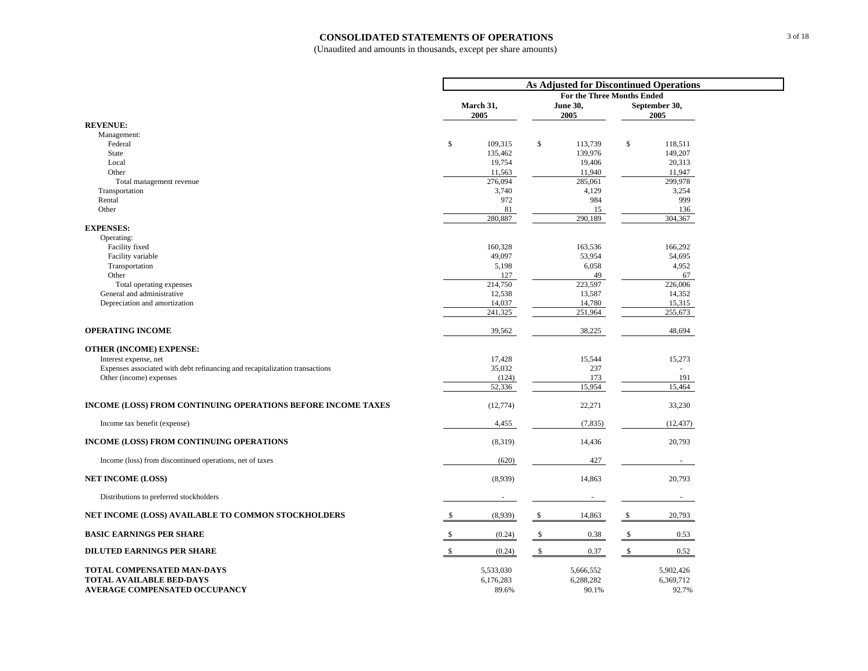#### **CONSOLIDATED STATEMENTS OF OPERATIONS**

| <b>For the Three Months Ended</b><br><b>June 30,</b><br>March 31,<br>September 30,<br>2005<br>2005<br>2005<br><b>REVENUE:</b><br>Management:<br>$\mathbb{S}$<br>\$<br>\$<br>Federal<br>109,315<br>113,739<br>118,511<br>149,207<br>State<br>135,462<br>139,976<br>19,754<br>20,313<br>Local<br>19,406<br>Other<br>11,563<br>11,940<br>11,947<br>276,094<br>285,061<br>299,978<br>Total management revenue<br>3,740<br>4,129<br>3,254<br>Transportation<br>999<br>Rental<br>972<br>984<br>Other<br>81<br>15<br>136<br>280,887<br>290,189<br>304,367<br><b>EXPENSES:</b><br>Operating:<br>Facility fixed<br>160,328<br>163,536<br>166,292<br>49,097<br>53,954<br>54,695<br>Facility variable<br>5,198<br>6,058<br>4,952<br>Transportation<br>Other<br>49<br>127<br>67<br>214,750<br>223,597<br>226,006<br>Total operating expenses<br>General and administrative<br>12,538<br>13,587<br>14,352<br>Depreciation and amortization<br>14,037<br>14,780<br>15,315<br>241,325<br>251,964<br>255,673<br><b>OPERATING INCOME</b><br>39,562<br>38,225<br>48,694<br><b>OTHER (INCOME) EXPENSE:</b><br>17,428<br>15,544<br>15,273<br>Interest expense, net<br>35,032<br>Expenses associated with debt refinancing and recapitalization transactions<br>237<br>$\overline{a}$<br>173<br>191<br>Other (income) expenses<br>(124)<br>52,336<br>15,954<br>15,464<br>INCOME (LOSS) FROM CONTINUING OPERATIONS BEFORE INCOME TAXES<br>(12, 774)<br>22,271<br>33,230<br>Income tax benefit (expense)<br>(7, 835)<br>4,455<br>(12, 437)<br>INCOME (LOSS) FROM CONTINUING OPERATIONS<br>(8,319)<br>20,793<br>14,436<br>Income (loss) from discontinued operations, net of taxes<br>(620)<br>427<br>$\sim$<br><b>NET INCOME (LOSS)</b><br>(8,939)<br>14,863<br>20,793<br>Distributions to preferred stockholders<br>$\sim$<br>$\sim$<br>NET INCOME (LOSS) AVAILABLE TO COMMON STOCKHOLDERS<br>(8,939)<br>-S<br>14,863<br>\$<br>20,793<br><b>BASIC EARNINGS PER SHARE</b><br>(0.24)<br>0.38<br>\$<br>0.53<br>-S<br>-S<br><b>DILUTED EARNINGS PER SHARE</b><br>(0.24)<br>- \$<br>0.37<br>\$<br>0.52<br>\$<br><b>TOTAL COMPENSATED MAN-DAYS</b><br>5,533,030<br>5,666,552<br>5,902,426<br><b>TOTAL AVAILABLE BED-DAYS</b><br>6,288,282<br>6,369,712<br>6,176,283<br><b>AVERAGE COMPENSATED OCCUPANCY</b><br>90.1%<br>92.7%<br>89.6% | As Adjusted for Discontinued Operations |  |  |  |  |  |  |  |  |  |
|------------------------------------------------------------------------------------------------------------------------------------------------------------------------------------------------------------------------------------------------------------------------------------------------------------------------------------------------------------------------------------------------------------------------------------------------------------------------------------------------------------------------------------------------------------------------------------------------------------------------------------------------------------------------------------------------------------------------------------------------------------------------------------------------------------------------------------------------------------------------------------------------------------------------------------------------------------------------------------------------------------------------------------------------------------------------------------------------------------------------------------------------------------------------------------------------------------------------------------------------------------------------------------------------------------------------------------------------------------------------------------------------------------------------------------------------------------------------------------------------------------------------------------------------------------------------------------------------------------------------------------------------------------------------------------------------------------------------------------------------------------------------------------------------------------------------------------------------------------------------------------------------------------------------------------------------------------------------------------------------------------------------------------------------------------------------------------------------------------------------------------------------------------------------------------------------------------------------------------------------------------------------------------------------------------|-----------------------------------------|--|--|--|--|--|--|--|--|--|
|                                                                                                                                                                                                                                                                                                                                                                                                                                                                                                                                                                                                                                                                                                                                                                                                                                                                                                                                                                                                                                                                                                                                                                                                                                                                                                                                                                                                                                                                                                                                                                                                                                                                                                                                                                                                                                                                                                                                                                                                                                                                                                                                                                                                                                                                                                            |                                         |  |  |  |  |  |  |  |  |  |
|                                                                                                                                                                                                                                                                                                                                                                                                                                                                                                                                                                                                                                                                                                                                                                                                                                                                                                                                                                                                                                                                                                                                                                                                                                                                                                                                                                                                                                                                                                                                                                                                                                                                                                                                                                                                                                                                                                                                                                                                                                                                                                                                                                                                                                                                                                            |                                         |  |  |  |  |  |  |  |  |  |
|                                                                                                                                                                                                                                                                                                                                                                                                                                                                                                                                                                                                                                                                                                                                                                                                                                                                                                                                                                                                                                                                                                                                                                                                                                                                                                                                                                                                                                                                                                                                                                                                                                                                                                                                                                                                                                                                                                                                                                                                                                                                                                                                                                                                                                                                                                            |                                         |  |  |  |  |  |  |  |  |  |
|                                                                                                                                                                                                                                                                                                                                                                                                                                                                                                                                                                                                                                                                                                                                                                                                                                                                                                                                                                                                                                                                                                                                                                                                                                                                                                                                                                                                                                                                                                                                                                                                                                                                                                                                                                                                                                                                                                                                                                                                                                                                                                                                                                                                                                                                                                            |                                         |  |  |  |  |  |  |  |  |  |
|                                                                                                                                                                                                                                                                                                                                                                                                                                                                                                                                                                                                                                                                                                                                                                                                                                                                                                                                                                                                                                                                                                                                                                                                                                                                                                                                                                                                                                                                                                                                                                                                                                                                                                                                                                                                                                                                                                                                                                                                                                                                                                                                                                                                                                                                                                            |                                         |  |  |  |  |  |  |  |  |  |
|                                                                                                                                                                                                                                                                                                                                                                                                                                                                                                                                                                                                                                                                                                                                                                                                                                                                                                                                                                                                                                                                                                                                                                                                                                                                                                                                                                                                                                                                                                                                                                                                                                                                                                                                                                                                                                                                                                                                                                                                                                                                                                                                                                                                                                                                                                            |                                         |  |  |  |  |  |  |  |  |  |
|                                                                                                                                                                                                                                                                                                                                                                                                                                                                                                                                                                                                                                                                                                                                                                                                                                                                                                                                                                                                                                                                                                                                                                                                                                                                                                                                                                                                                                                                                                                                                                                                                                                                                                                                                                                                                                                                                                                                                                                                                                                                                                                                                                                                                                                                                                            |                                         |  |  |  |  |  |  |  |  |  |
|                                                                                                                                                                                                                                                                                                                                                                                                                                                                                                                                                                                                                                                                                                                                                                                                                                                                                                                                                                                                                                                                                                                                                                                                                                                                                                                                                                                                                                                                                                                                                                                                                                                                                                                                                                                                                                                                                                                                                                                                                                                                                                                                                                                                                                                                                                            |                                         |  |  |  |  |  |  |  |  |  |
|                                                                                                                                                                                                                                                                                                                                                                                                                                                                                                                                                                                                                                                                                                                                                                                                                                                                                                                                                                                                                                                                                                                                                                                                                                                                                                                                                                                                                                                                                                                                                                                                                                                                                                                                                                                                                                                                                                                                                                                                                                                                                                                                                                                                                                                                                                            |                                         |  |  |  |  |  |  |  |  |  |
|                                                                                                                                                                                                                                                                                                                                                                                                                                                                                                                                                                                                                                                                                                                                                                                                                                                                                                                                                                                                                                                                                                                                                                                                                                                                                                                                                                                                                                                                                                                                                                                                                                                                                                                                                                                                                                                                                                                                                                                                                                                                                                                                                                                                                                                                                                            |                                         |  |  |  |  |  |  |  |  |  |
|                                                                                                                                                                                                                                                                                                                                                                                                                                                                                                                                                                                                                                                                                                                                                                                                                                                                                                                                                                                                                                                                                                                                                                                                                                                                                                                                                                                                                                                                                                                                                                                                                                                                                                                                                                                                                                                                                                                                                                                                                                                                                                                                                                                                                                                                                                            |                                         |  |  |  |  |  |  |  |  |  |
|                                                                                                                                                                                                                                                                                                                                                                                                                                                                                                                                                                                                                                                                                                                                                                                                                                                                                                                                                                                                                                                                                                                                                                                                                                                                                                                                                                                                                                                                                                                                                                                                                                                                                                                                                                                                                                                                                                                                                                                                                                                                                                                                                                                                                                                                                                            |                                         |  |  |  |  |  |  |  |  |  |
|                                                                                                                                                                                                                                                                                                                                                                                                                                                                                                                                                                                                                                                                                                                                                                                                                                                                                                                                                                                                                                                                                                                                                                                                                                                                                                                                                                                                                                                                                                                                                                                                                                                                                                                                                                                                                                                                                                                                                                                                                                                                                                                                                                                                                                                                                                            |                                         |  |  |  |  |  |  |  |  |  |
|                                                                                                                                                                                                                                                                                                                                                                                                                                                                                                                                                                                                                                                                                                                                                                                                                                                                                                                                                                                                                                                                                                                                                                                                                                                                                                                                                                                                                                                                                                                                                                                                                                                                                                                                                                                                                                                                                                                                                                                                                                                                                                                                                                                                                                                                                                            |                                         |  |  |  |  |  |  |  |  |  |
|                                                                                                                                                                                                                                                                                                                                                                                                                                                                                                                                                                                                                                                                                                                                                                                                                                                                                                                                                                                                                                                                                                                                                                                                                                                                                                                                                                                                                                                                                                                                                                                                                                                                                                                                                                                                                                                                                                                                                                                                                                                                                                                                                                                                                                                                                                            |                                         |  |  |  |  |  |  |  |  |  |
|                                                                                                                                                                                                                                                                                                                                                                                                                                                                                                                                                                                                                                                                                                                                                                                                                                                                                                                                                                                                                                                                                                                                                                                                                                                                                                                                                                                                                                                                                                                                                                                                                                                                                                                                                                                                                                                                                                                                                                                                                                                                                                                                                                                                                                                                                                            |                                         |  |  |  |  |  |  |  |  |  |
|                                                                                                                                                                                                                                                                                                                                                                                                                                                                                                                                                                                                                                                                                                                                                                                                                                                                                                                                                                                                                                                                                                                                                                                                                                                                                                                                                                                                                                                                                                                                                                                                                                                                                                                                                                                                                                                                                                                                                                                                                                                                                                                                                                                                                                                                                                            |                                         |  |  |  |  |  |  |  |  |  |
|                                                                                                                                                                                                                                                                                                                                                                                                                                                                                                                                                                                                                                                                                                                                                                                                                                                                                                                                                                                                                                                                                                                                                                                                                                                                                                                                                                                                                                                                                                                                                                                                                                                                                                                                                                                                                                                                                                                                                                                                                                                                                                                                                                                                                                                                                                            |                                         |  |  |  |  |  |  |  |  |  |
|                                                                                                                                                                                                                                                                                                                                                                                                                                                                                                                                                                                                                                                                                                                                                                                                                                                                                                                                                                                                                                                                                                                                                                                                                                                                                                                                                                                                                                                                                                                                                                                                                                                                                                                                                                                                                                                                                                                                                                                                                                                                                                                                                                                                                                                                                                            |                                         |  |  |  |  |  |  |  |  |  |
|                                                                                                                                                                                                                                                                                                                                                                                                                                                                                                                                                                                                                                                                                                                                                                                                                                                                                                                                                                                                                                                                                                                                                                                                                                                                                                                                                                                                                                                                                                                                                                                                                                                                                                                                                                                                                                                                                                                                                                                                                                                                                                                                                                                                                                                                                                            |                                         |  |  |  |  |  |  |  |  |  |
|                                                                                                                                                                                                                                                                                                                                                                                                                                                                                                                                                                                                                                                                                                                                                                                                                                                                                                                                                                                                                                                                                                                                                                                                                                                                                                                                                                                                                                                                                                                                                                                                                                                                                                                                                                                                                                                                                                                                                                                                                                                                                                                                                                                                                                                                                                            |                                         |  |  |  |  |  |  |  |  |  |
|                                                                                                                                                                                                                                                                                                                                                                                                                                                                                                                                                                                                                                                                                                                                                                                                                                                                                                                                                                                                                                                                                                                                                                                                                                                                                                                                                                                                                                                                                                                                                                                                                                                                                                                                                                                                                                                                                                                                                                                                                                                                                                                                                                                                                                                                                                            |                                         |  |  |  |  |  |  |  |  |  |
|                                                                                                                                                                                                                                                                                                                                                                                                                                                                                                                                                                                                                                                                                                                                                                                                                                                                                                                                                                                                                                                                                                                                                                                                                                                                                                                                                                                                                                                                                                                                                                                                                                                                                                                                                                                                                                                                                                                                                                                                                                                                                                                                                                                                                                                                                                            |                                         |  |  |  |  |  |  |  |  |  |
|                                                                                                                                                                                                                                                                                                                                                                                                                                                                                                                                                                                                                                                                                                                                                                                                                                                                                                                                                                                                                                                                                                                                                                                                                                                                                                                                                                                                                                                                                                                                                                                                                                                                                                                                                                                                                                                                                                                                                                                                                                                                                                                                                                                                                                                                                                            |                                         |  |  |  |  |  |  |  |  |  |
|                                                                                                                                                                                                                                                                                                                                                                                                                                                                                                                                                                                                                                                                                                                                                                                                                                                                                                                                                                                                                                                                                                                                                                                                                                                                                                                                                                                                                                                                                                                                                                                                                                                                                                                                                                                                                                                                                                                                                                                                                                                                                                                                                                                                                                                                                                            |                                         |  |  |  |  |  |  |  |  |  |
|                                                                                                                                                                                                                                                                                                                                                                                                                                                                                                                                                                                                                                                                                                                                                                                                                                                                                                                                                                                                                                                                                                                                                                                                                                                                                                                                                                                                                                                                                                                                                                                                                                                                                                                                                                                                                                                                                                                                                                                                                                                                                                                                                                                                                                                                                                            |                                         |  |  |  |  |  |  |  |  |  |
|                                                                                                                                                                                                                                                                                                                                                                                                                                                                                                                                                                                                                                                                                                                                                                                                                                                                                                                                                                                                                                                                                                                                                                                                                                                                                                                                                                                                                                                                                                                                                                                                                                                                                                                                                                                                                                                                                                                                                                                                                                                                                                                                                                                                                                                                                                            |                                         |  |  |  |  |  |  |  |  |  |
|                                                                                                                                                                                                                                                                                                                                                                                                                                                                                                                                                                                                                                                                                                                                                                                                                                                                                                                                                                                                                                                                                                                                                                                                                                                                                                                                                                                                                                                                                                                                                                                                                                                                                                                                                                                                                                                                                                                                                                                                                                                                                                                                                                                                                                                                                                            |                                         |  |  |  |  |  |  |  |  |  |
|                                                                                                                                                                                                                                                                                                                                                                                                                                                                                                                                                                                                                                                                                                                                                                                                                                                                                                                                                                                                                                                                                                                                                                                                                                                                                                                                                                                                                                                                                                                                                                                                                                                                                                                                                                                                                                                                                                                                                                                                                                                                                                                                                                                                                                                                                                            |                                         |  |  |  |  |  |  |  |  |  |
|                                                                                                                                                                                                                                                                                                                                                                                                                                                                                                                                                                                                                                                                                                                                                                                                                                                                                                                                                                                                                                                                                                                                                                                                                                                                                                                                                                                                                                                                                                                                                                                                                                                                                                                                                                                                                                                                                                                                                                                                                                                                                                                                                                                                                                                                                                            |                                         |  |  |  |  |  |  |  |  |  |
|                                                                                                                                                                                                                                                                                                                                                                                                                                                                                                                                                                                                                                                                                                                                                                                                                                                                                                                                                                                                                                                                                                                                                                                                                                                                                                                                                                                                                                                                                                                                                                                                                                                                                                                                                                                                                                                                                                                                                                                                                                                                                                                                                                                                                                                                                                            |                                         |  |  |  |  |  |  |  |  |  |
|                                                                                                                                                                                                                                                                                                                                                                                                                                                                                                                                                                                                                                                                                                                                                                                                                                                                                                                                                                                                                                                                                                                                                                                                                                                                                                                                                                                                                                                                                                                                                                                                                                                                                                                                                                                                                                                                                                                                                                                                                                                                                                                                                                                                                                                                                                            |                                         |  |  |  |  |  |  |  |  |  |
|                                                                                                                                                                                                                                                                                                                                                                                                                                                                                                                                                                                                                                                                                                                                                                                                                                                                                                                                                                                                                                                                                                                                                                                                                                                                                                                                                                                                                                                                                                                                                                                                                                                                                                                                                                                                                                                                                                                                                                                                                                                                                                                                                                                                                                                                                                            |                                         |  |  |  |  |  |  |  |  |  |
|                                                                                                                                                                                                                                                                                                                                                                                                                                                                                                                                                                                                                                                                                                                                                                                                                                                                                                                                                                                                                                                                                                                                                                                                                                                                                                                                                                                                                                                                                                                                                                                                                                                                                                                                                                                                                                                                                                                                                                                                                                                                                                                                                                                                                                                                                                            |                                         |  |  |  |  |  |  |  |  |  |
|                                                                                                                                                                                                                                                                                                                                                                                                                                                                                                                                                                                                                                                                                                                                                                                                                                                                                                                                                                                                                                                                                                                                                                                                                                                                                                                                                                                                                                                                                                                                                                                                                                                                                                                                                                                                                                                                                                                                                                                                                                                                                                                                                                                                                                                                                                            |                                         |  |  |  |  |  |  |  |  |  |
|                                                                                                                                                                                                                                                                                                                                                                                                                                                                                                                                                                                                                                                                                                                                                                                                                                                                                                                                                                                                                                                                                                                                                                                                                                                                                                                                                                                                                                                                                                                                                                                                                                                                                                                                                                                                                                                                                                                                                                                                                                                                                                                                                                                                                                                                                                            |                                         |  |  |  |  |  |  |  |  |  |
|                                                                                                                                                                                                                                                                                                                                                                                                                                                                                                                                                                                                                                                                                                                                                                                                                                                                                                                                                                                                                                                                                                                                                                                                                                                                                                                                                                                                                                                                                                                                                                                                                                                                                                                                                                                                                                                                                                                                                                                                                                                                                                                                                                                                                                                                                                            |                                         |  |  |  |  |  |  |  |  |  |
|                                                                                                                                                                                                                                                                                                                                                                                                                                                                                                                                                                                                                                                                                                                                                                                                                                                                                                                                                                                                                                                                                                                                                                                                                                                                                                                                                                                                                                                                                                                                                                                                                                                                                                                                                                                                                                                                                                                                                                                                                                                                                                                                                                                                                                                                                                            |                                         |  |  |  |  |  |  |  |  |  |
|                                                                                                                                                                                                                                                                                                                                                                                                                                                                                                                                                                                                                                                                                                                                                                                                                                                                                                                                                                                                                                                                                                                                                                                                                                                                                                                                                                                                                                                                                                                                                                                                                                                                                                                                                                                                                                                                                                                                                                                                                                                                                                                                                                                                                                                                                                            |                                         |  |  |  |  |  |  |  |  |  |
|                                                                                                                                                                                                                                                                                                                                                                                                                                                                                                                                                                                                                                                                                                                                                                                                                                                                                                                                                                                                                                                                                                                                                                                                                                                                                                                                                                                                                                                                                                                                                                                                                                                                                                                                                                                                                                                                                                                                                                                                                                                                                                                                                                                                                                                                                                            |                                         |  |  |  |  |  |  |  |  |  |
|                                                                                                                                                                                                                                                                                                                                                                                                                                                                                                                                                                                                                                                                                                                                                                                                                                                                                                                                                                                                                                                                                                                                                                                                                                                                                                                                                                                                                                                                                                                                                                                                                                                                                                                                                                                                                                                                                                                                                                                                                                                                                                                                                                                                                                                                                                            |                                         |  |  |  |  |  |  |  |  |  |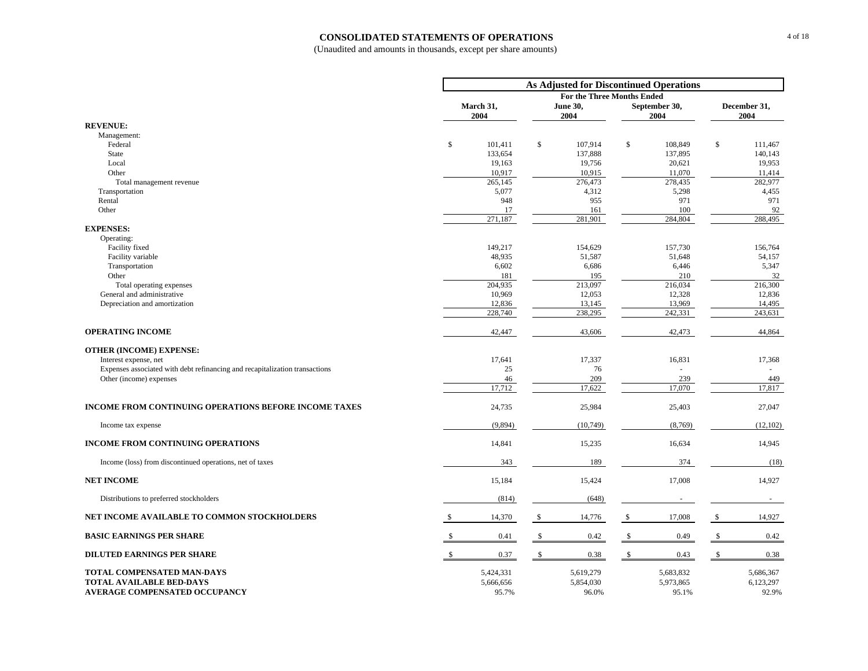#### **CONSOLIDATED STATEMENTS OF OPERATIONS**

|                                                                                                              |                                 |    | <b>As Adjusted for Discontinued Operations</b> |              |                                 |                                 |
|--------------------------------------------------------------------------------------------------------------|---------------------------------|----|------------------------------------------------|--------------|---------------------------------|---------------------------------|
|                                                                                                              |                                 |    | For the Three Months Ended                     |              |                                 |                                 |
|                                                                                                              | March 31,<br>2004               |    | <b>June 30,</b><br>2004                        |              | September 30,<br>2004           | December 31,<br>2004            |
| <b>REVENUE:</b>                                                                                              |                                 |    |                                                |              |                                 |                                 |
| Management:                                                                                                  |                                 |    |                                                |              |                                 |                                 |
| Federal                                                                                                      | \$<br>101,411                   | \$ | 107,914                                        | $\mathbb{S}$ | 108,849                         | \$<br>111,467                   |
| State<br>Local                                                                                               | 133,654<br>19,163               |    | 137,888<br>19,756                              |              | 137,895<br>20,621               | 140,143<br>19,953               |
| Other                                                                                                        | 10,917                          |    | 10,915                                         |              | 11,070                          | 11,414                          |
| Total management revenue                                                                                     | 265,145                         |    | 276,473                                        |              | 278,435                         | 282,977                         |
| Transportation                                                                                               | 5,077                           |    | 4,312                                          |              | 5,298                           | 4,455                           |
| Rental                                                                                                       | 948                             |    | 955                                            |              | 971                             | 971                             |
| Other                                                                                                        | 17                              |    | 161                                            |              | 100                             | 92                              |
| <b>EXPENSES:</b>                                                                                             | 271,187                         |    | 281,901                                        |              | 284,804                         | 288,495                         |
| Operating:                                                                                                   |                                 |    |                                                |              |                                 |                                 |
| Facility fixed                                                                                               | 149,217                         |    | 154,629                                        |              | 157,730                         | 156,764                         |
| Facility variable                                                                                            | 48,935                          |    | 51,587                                         |              | 51,648                          | 54,157                          |
| Transportation                                                                                               | 6,602                           |    | 6,686                                          |              | 6,446                           | 5,347                           |
| Other                                                                                                        | 181                             |    | 195                                            |              | 210                             | 32                              |
| Total operating expenses                                                                                     | 204,935                         |    | 213,097                                        |              | 216,034                         | 216,300                         |
| General and administrative                                                                                   | 10,969                          |    | 12,053                                         |              | 12,328                          | 12,836                          |
| Depreciation and amortization                                                                                | 12,836<br>228,740               |    | 13,145<br>238,295                              |              | 13,969<br>242,331               | 14,495<br>243,631               |
|                                                                                                              |                                 |    |                                                |              |                                 |                                 |
| <b>OPERATING INCOME</b>                                                                                      | 42,447                          |    | 43,606                                         |              | 42,473                          | 44,864                          |
| <b>OTHER (INCOME) EXPENSE:</b>                                                                               |                                 |    |                                                |              |                                 |                                 |
| Interest expense, net                                                                                        | 17.641                          |    | 17,337                                         |              | 16,831                          | 17,368                          |
| Expenses associated with debt refinancing and recapitalization transactions                                  | 25                              |    | 76                                             |              |                                 |                                 |
| Other (income) expenses                                                                                      | 46                              |    | 209                                            |              | 239                             | 449                             |
|                                                                                                              | 17,712                          |    | 17,622                                         |              | 17,070                          | 17.817                          |
| <b>INCOME FROM CONTINUING OPERATIONS BEFORE INCOME TAXES</b>                                                 | 24,735                          |    | 25,984                                         |              | 25,403                          | 27,047                          |
| Income tax expense                                                                                           | (9,894)                         |    | (10,749)                                       |              | (8,769)                         | (12, 102)                       |
| <b>INCOME FROM CONTINUING OPERATIONS</b>                                                                     | 14,841                          |    | 15,235                                         |              | 16,634                          | 14,945                          |
| Income (loss) from discontinued operations, net of taxes                                                     | 343                             |    | 189                                            |              | 374                             | (18)                            |
| <b>NET INCOME</b>                                                                                            | 15,184                          |    | 15,424                                         |              | 17,008                          | 14,927                          |
| Distributions to preferred stockholders                                                                      | (814)                           |    | (648)                                          |              | $\overline{\phantom{a}}$        | $\sim$                          |
| NET INCOME AVAILABLE TO COMMON STOCKHOLDERS                                                                  | 14,370                          | \$ | 14,776                                         | \$           | 17,008                          | \$<br>14,927                    |
| <b>BASIC EARNINGS PER SHARE</b>                                                                              | 0.41                            | -S | 0.42                                           | s.           | 0.49                            | \$<br>0.42                      |
| <b>DILUTED EARNINGS PER SHARE</b>                                                                            | \$<br>0.37                      | \$ | 0.38                                           | \$           | 0.43                            | \$<br>0.38                      |
| <b>TOTAL COMPENSATED MAN-DAYS</b><br><b>TOTAL AVAILABLE BED-DAYS</b><br><b>AVERAGE COMPENSATED OCCUPANCY</b> | 5,424,331<br>5,666,656<br>95.7% |    | 5,619,279<br>5,854,030<br>96.0%                |              | 5,683,832<br>5,973,865<br>95.1% | 5,686,367<br>6,123,297<br>92.9% |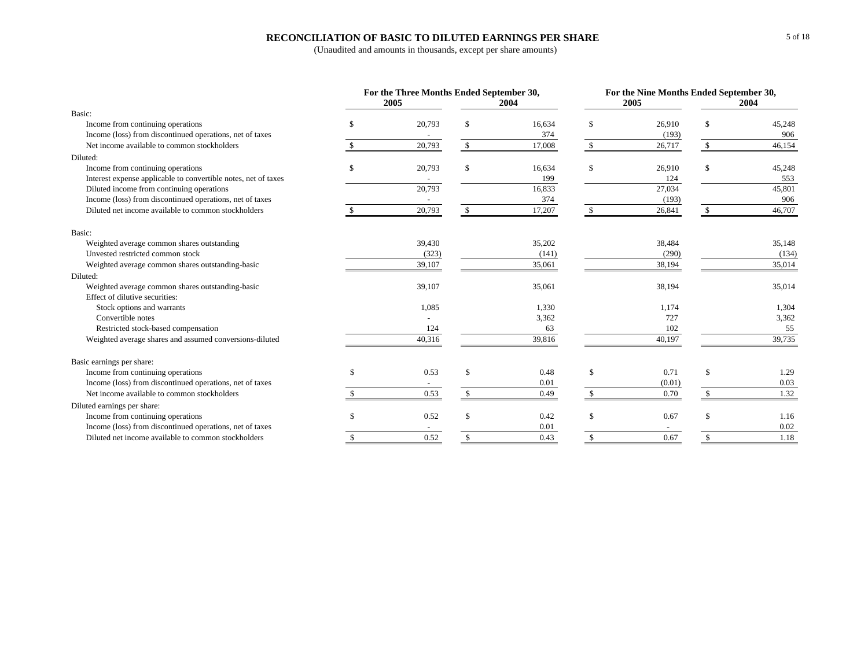### **RECONCILIATION OF BASIC TO DILUTED EARNINGS PER SHARE**

|                                                                | For the Three Months Ended September 30, |               |        |                    |        | For the Nine Months Ended September 30, |        |  |
|----------------------------------------------------------------|------------------------------------------|---------------|--------|--------------------|--------|-----------------------------------------|--------|--|
|                                                                | 2005                                     |               | 2004   |                    | 2005   | 2004                                    |        |  |
| Basic:                                                         |                                          |               |        |                    |        |                                         |        |  |
| Income from continuing operations                              | \$<br>20,793                             |               | 16,634 | \$                 | 26,910 | \$                                      | 45,248 |  |
| Income (loss) from discontinued operations, net of taxes       |                                          |               | 374    |                    | (193)  |                                         | 906    |  |
| Net income available to common stockholders                    | 20,793                                   | \$            | 17,008 | \$                 | 26,717 | $\mathbb{S}$                            | 46,154 |  |
| Diluted:                                                       |                                          |               |        |                    |        |                                         |        |  |
| Income from continuing operations                              | \$<br>20,793                             |               | 16,634 | \$                 | 26,910 | \$                                      | 45,248 |  |
| Interest expense applicable to convertible notes, net of taxes |                                          |               | 199    |                    | 124    |                                         | 553    |  |
| Diluted income from continuing operations                      | 20,793                                   |               | 16,833 |                    | 27,034 |                                         | 45,801 |  |
| Income (loss) from discontinued operations, net of taxes       |                                          |               | 374    |                    | (193)  |                                         | 906    |  |
| Diluted net income available to common stockholders            | 20,793                                   | \$            | 17,207 | $\mathbb{S}$       | 26,841 | \$                                      | 46,707 |  |
| Basic:                                                         |                                          |               |        |                    |        |                                         |        |  |
| Weighted average common shares outstanding                     | 39,430                                   |               | 35,202 |                    | 38,484 |                                         | 35,148 |  |
| Unvested restricted common stock                               | (323)                                    |               | (141)  |                    | (290)  |                                         | (134)  |  |
| Weighted average common shares outstanding-basic               | 39,107                                   |               | 35,061 |                    | 38,194 |                                         | 35,014 |  |
| Diluted:                                                       |                                          |               |        |                    |        |                                         |        |  |
| Weighted average common shares outstanding-basic               | 39,107                                   |               | 35,061 |                    | 38,194 |                                         | 35,014 |  |
| Effect of dilutive securities:                                 |                                          |               |        |                    |        |                                         |        |  |
| Stock options and warrants                                     | 1,085                                    |               | 1,330  |                    | 1,174  |                                         | 1,304  |  |
| Convertible notes                                              |                                          |               | 3,362  |                    | 727    |                                         | 3,362  |  |
| Restricted stock-based compensation                            | 124                                      |               | 63     |                    | 102    |                                         | 55     |  |
| Weighted average shares and assumed conversions-diluted        | 40,316                                   |               | 39,816 |                    | 40,197 |                                         | 39,735 |  |
| Basic earnings per share:                                      |                                          |               |        |                    |        |                                         |        |  |
| Income from continuing operations                              | \$<br>0.53                               | <sup>\$</sup> | 0.48   | \$                 | 0.71   | $\mathbb{S}$                            | 1.29   |  |
| Income (loss) from discontinued operations, net of taxes       |                                          |               | 0.01   |                    | (0.01) |                                         | 0.03   |  |
| Net income available to common stockholders                    | 0.53                                     | $\mathbb{S}$  | 0.49   | $\mathbf{\hat{S}}$ | 0.70   | \$                                      | 1.32   |  |
| Diluted earnings per share:                                    |                                          |               |        |                    |        |                                         |        |  |
| Income from continuing operations                              | 0.52                                     |               | 0.42   | \$                 | 0.67   | \$                                      | 1.16   |  |
| Income (loss) from discontinued operations, net of taxes       |                                          |               | 0.01   |                    |        |                                         | 0.02   |  |
| Diluted net income available to common stockholders            | \$<br>0.52                               | \$            | 0.43   | $\mathbb{S}$       | 0.67   | $\mathbb{S}$                            | 1.18   |  |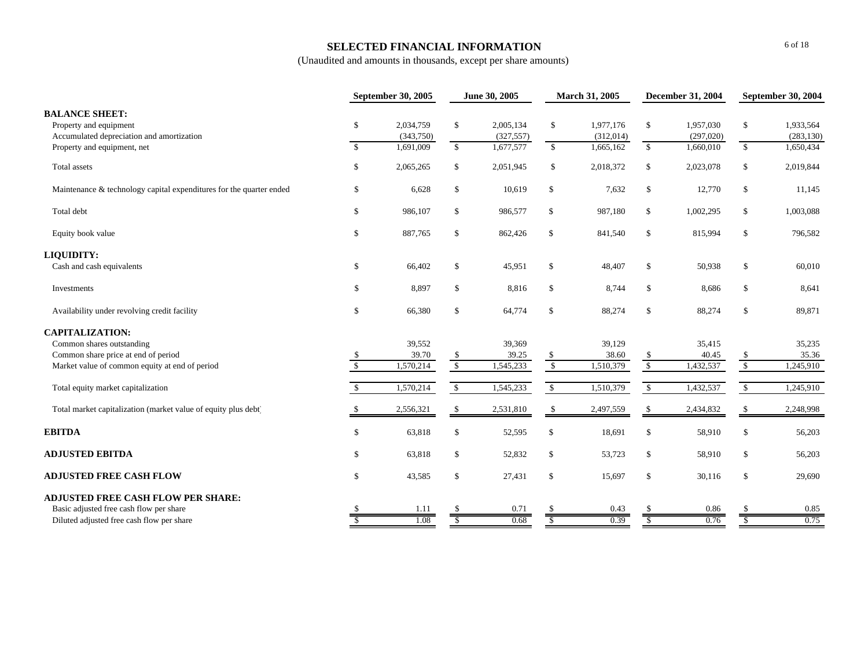## **SELECTED FINANCIAL INFORMATION**

|                                                                     |               | <b>September 30, 2005</b> |               | June 30, 2005 |                          | March 31, 2005 | <b>December 31, 2004</b> |           | <b>September 30, 2004</b> |            |
|---------------------------------------------------------------------|---------------|---------------------------|---------------|---------------|--------------------------|----------------|--------------------------|-----------|---------------------------|------------|
| <b>BALANCE SHEET:</b>                                               |               |                           |               |               |                          |                |                          |           |                           |            |
| Property and equipment                                              | \$            | 2,034,759                 | \$            | 2,005,134     | \$                       | 1,977,176      | \$                       | 1,957,030 | \$                        | 1,933,564  |
| Accumulated depreciation and amortization                           |               | (343,750)                 |               | (327, 557)    |                          | (312,014)      |                          | (297,020) |                           | (283, 130) |
| Property and equipment, net                                         | $\mathbb{S}$  | 1,691,009                 | $\mathbb{S}$  | 1,677,577     | $\mathbb{S}$             | 1,665,162      | $\mathbb{S}$             | 1,660,010 | $\mathbb{S}$              | 1,650,434  |
| Total assets                                                        | \$            | 2,065,265                 | \$            | 2,051,945     | $\mathbb{S}$             | 2,018,372      | \$                       | 2,023,078 | \$                        | 2,019,844  |
| Maintenance & technology capital expenditures for the quarter ended | \$            | 6,628                     | \$            | 10,619        | \$                       | 7,632          | \$                       | 12,770    | $\mathbb{S}$              | 11,145     |
| Total debt                                                          | \$            | 986,107                   | \$            | 986,577       | \$                       | 987,180        | \$                       | 1,002,295 | \$                        | 1,003,088  |
| Equity book value                                                   | \$            | 887,765                   | $\mathbb{S}$  | 862,426       | \$                       | 841,540        | \$                       | 815,994   | $\mathcal{S}$             | 796,582    |
| LIQUIDITY:                                                          |               |                           |               |               |                          |                |                          |           |                           |            |
| Cash and cash equivalents                                           | \$            | 66,402                    | \$            | 45,951        | \$                       | 48,407         | \$                       | 50,938    | $\mathbb{S}$              | 60,010     |
| Investments                                                         | \$            | 8,897                     | \$            | 8,816         | \$                       | 8,744          | \$                       | 8,686     | $\mathcal{S}$             | 8,641      |
| Availability under revolving credit facility                        | \$            | 66,380                    | \$            | 64,774        | \$                       | 88,274         | \$                       | 88,274    | $\mathcal{S}$             | 89,871     |
| <b>CAPITALIZATION:</b>                                              |               |                           |               |               |                          |                |                          |           |                           |            |
| Common shares outstanding                                           |               | 39,552                    |               | 39,369        |                          | 39,129         |                          | 35,415    |                           | 35,235     |
| Common share price at end of period                                 | \$            | 39.70                     | $\sqrt{2}$    | 39.25         | \$                       | 38.60          | $\sqrt{\frac{2}{3}}$     | 40.45     | $\frac{\$}{\$}$           | 35.36      |
| Market value of common equity at end of period                      | $\mathbb{S}$  | 1,570,214                 | $\sqrt{3}$    | 1,545,233     | $\mathbb{S}$             | 1,510,379      | $\mathbb{S}$             | 1,432,537 |                           | 1,245,910  |
| Total equity market capitalization                                  | $\mathcal{S}$ | 1,570,214                 | $\sqrt[6]{3}$ | 1,545,233     | $\mathbb{S}$             | 1,510,379      | $\sqrt{\frac{2}{3}}$     | 1,432,537 | $\sqrt{s}$                | 1,245,910  |
| Total market capitalization (market value of equity plus debt)      |               | 2,556,321                 | $\mathbb{S}$  | 2,531,810     | <sup>\$</sup>            | 2,497,559      | $\mathbb{S}$             | 2,434,832 | \$                        | 2,248,998  |
| <b>EBITDA</b>                                                       | \$            | 63,818                    | \$            | 52,595        | \$                       | 18,691         | $\mathbb{S}$             | 58,910    | $\mathbb{S}$              | 56,203     |
| <b>ADJUSTED EBITDA</b>                                              | \$            | 63,818                    | \$            | 52,832        | \$                       | 53,723         | \$                       | 58,910    | \$                        | 56,203     |
| <b>ADJUSTED FREE CASH FLOW</b>                                      | \$            | 43,585                    | \$            | 27,431        | \$                       | 15,697         | \$                       | 30,116    | $\$$                      | 29,690     |
| <b>ADJUSTED FREE CASH FLOW PER SHARE:</b>                           |               |                           |               |               |                          |                |                          |           |                           |            |
| Basic adjusted free cash flow per share                             |               | 1.11                      |               | 0.71          |                          | 0.43           |                          | 0.86      | <sup>\$</sup>             | 0.85       |
| Diluted adjusted free cash flow per share                           | $\mathcal{S}$ | 1.08                      | $\mathcal{S}$ | 0.68          | $\overline{\mathcal{S}}$ | 0.39           | $\sqrt{\ }$              | 0.76      | $\overline{\$}$           | 0.75       |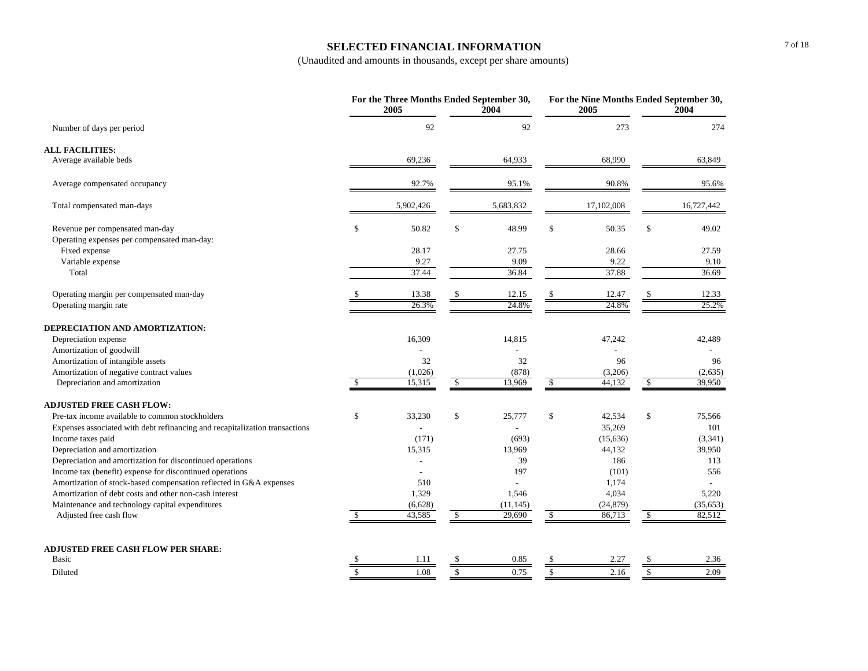#### **SELECTED FINANCIAL INFORMATION**

| 92<br>92<br>273<br>Number of days per period<br><b>ALL FACILITIES:</b><br>Average available beds<br>69,236<br>64,933<br>68,990<br>63,849<br>90.8%<br>92.7%<br>95.1%<br>95.6%<br>Average compensated occupancy<br>5,902,426<br>17,102,008<br>16,727,442<br>Total compensated man-days<br>5,683,832<br>\$<br>\$<br>\$<br>Revenue per compensated man-day<br>\$<br>50.82<br>48.99<br>50.35<br>49.02<br>Operating expenses per compensated man-day:<br>Fixed expense<br>28.17<br>27.75<br>28.66<br>27.59<br>Variable expense<br>9.09<br>9.27<br>9.22<br>9.10<br>36.84<br>37.88<br>Total<br>37.44<br>36.69<br>Operating margin per compensated man-day<br>13.38<br>12.15<br>12.47<br>12.33<br>26.3%<br>24.8%<br>24.8%<br>25.2%<br>Operating margin rate<br>DEPRECIATION AND AMORTIZATION:<br>Depreciation expense<br>16,309<br>14,815<br>47,242<br>42,489<br>Amortization of goodwill<br>32<br>96<br>Amortization of intangible assets<br>32<br>96<br>Amortization of negative contract values<br>(878)<br>(2,635)<br>(1,026)<br>(3,206)<br>15,315<br>$\mathbb{S}$<br>Depreciation and amortization<br>\$<br>\$<br>13,969<br>44,132<br>\$<br>39,950<br><b>ADJUSTED FREE CASH FLOW:</b><br>\$<br>33,230<br>\$<br>25,777<br>\$<br>42,534<br>\$<br>75,566<br>Pre-tax income available to common stockholders<br>35,269<br>101<br>Expenses associated with debt refinancing and recapitalization transactions<br>Income taxes paid<br>(171)<br>(693)<br>(15, 636)<br>(3,341)<br>Depreciation and amortization<br>39,950<br>15,315<br>13,969<br>44,132<br>Depreciation and amortization for discontinued operations<br>39<br>186<br>113<br>Income tax (benefit) expense for discontinued operations<br>197<br>(101)<br>556<br>Amortization of stock-based compensation reflected in G&A expenses<br>510<br>1,174<br>Amortization of debt costs and other non-cash interest<br>1,329<br>1,546<br>4,034<br>5,220<br>Maintenance and technology capital expenditures<br>(6,628)<br>(11, 145)<br>(24, 879)<br>(35, 653)<br>43,585<br>29,690<br>86,713<br>82,512<br>Adjusted free cash flow<br>$\mathcal{S}$<br>$\mathbb{S}$<br>$\sqrt{2}$<br>-S<br><b>ADJUSTED FREE CASH FLOW PER SHARE:</b><br>Basic<br>1.11<br>\$<br>0.85<br><sup>\$</sup><br>2.27<br>$\mathbb{S}$<br>2.36<br>-S<br>$\mathbf{\hat{S}}$<br>$\mathcal{S}$<br>2.16<br>$\mathbb S$<br>1.08<br>\$<br>0.75<br>2.09<br>Diluted |  | For the Three Months Ended September 30,<br>2005 | 2004 | For the Nine Months Ended September 30,<br>2005 | 2004 |
|-----------------------------------------------------------------------------------------------------------------------------------------------------------------------------------------------------------------------------------------------------------------------------------------------------------------------------------------------------------------------------------------------------------------------------------------------------------------------------------------------------------------------------------------------------------------------------------------------------------------------------------------------------------------------------------------------------------------------------------------------------------------------------------------------------------------------------------------------------------------------------------------------------------------------------------------------------------------------------------------------------------------------------------------------------------------------------------------------------------------------------------------------------------------------------------------------------------------------------------------------------------------------------------------------------------------------------------------------------------------------------------------------------------------------------------------------------------------------------------------------------------------------------------------------------------------------------------------------------------------------------------------------------------------------------------------------------------------------------------------------------------------------------------------------------------------------------------------------------------------------------------------------------------------------------------------------------------------------------------------------------------------------------------------------------------------------------------------------------------------------------------------------------------------------------------------------------------------------------------------------------------------------------------------------------------------------------------------------------------------------------|--|--------------------------------------------------|------|-------------------------------------------------|------|
|                                                                                                                                                                                                                                                                                                                                                                                                                                                                                                                                                                                                                                                                                                                                                                                                                                                                                                                                                                                                                                                                                                                                                                                                                                                                                                                                                                                                                                                                                                                                                                                                                                                                                                                                                                                                                                                                                                                                                                                                                                                                                                                                                                                                                                                                                                                                                                             |  |                                                  |      |                                                 | 274  |
|                                                                                                                                                                                                                                                                                                                                                                                                                                                                                                                                                                                                                                                                                                                                                                                                                                                                                                                                                                                                                                                                                                                                                                                                                                                                                                                                                                                                                                                                                                                                                                                                                                                                                                                                                                                                                                                                                                                                                                                                                                                                                                                                                                                                                                                                                                                                                                             |  |                                                  |      |                                                 |      |
|                                                                                                                                                                                                                                                                                                                                                                                                                                                                                                                                                                                                                                                                                                                                                                                                                                                                                                                                                                                                                                                                                                                                                                                                                                                                                                                                                                                                                                                                                                                                                                                                                                                                                                                                                                                                                                                                                                                                                                                                                                                                                                                                                                                                                                                                                                                                                                             |  |                                                  |      |                                                 |      |
|                                                                                                                                                                                                                                                                                                                                                                                                                                                                                                                                                                                                                                                                                                                                                                                                                                                                                                                                                                                                                                                                                                                                                                                                                                                                                                                                                                                                                                                                                                                                                                                                                                                                                                                                                                                                                                                                                                                                                                                                                                                                                                                                                                                                                                                                                                                                                                             |  |                                                  |      |                                                 |      |
|                                                                                                                                                                                                                                                                                                                                                                                                                                                                                                                                                                                                                                                                                                                                                                                                                                                                                                                                                                                                                                                                                                                                                                                                                                                                                                                                                                                                                                                                                                                                                                                                                                                                                                                                                                                                                                                                                                                                                                                                                                                                                                                                                                                                                                                                                                                                                                             |  |                                                  |      |                                                 |      |
|                                                                                                                                                                                                                                                                                                                                                                                                                                                                                                                                                                                                                                                                                                                                                                                                                                                                                                                                                                                                                                                                                                                                                                                                                                                                                                                                                                                                                                                                                                                                                                                                                                                                                                                                                                                                                                                                                                                                                                                                                                                                                                                                                                                                                                                                                                                                                                             |  |                                                  |      |                                                 |      |
|                                                                                                                                                                                                                                                                                                                                                                                                                                                                                                                                                                                                                                                                                                                                                                                                                                                                                                                                                                                                                                                                                                                                                                                                                                                                                                                                                                                                                                                                                                                                                                                                                                                                                                                                                                                                                                                                                                                                                                                                                                                                                                                                                                                                                                                                                                                                                                             |  |                                                  |      |                                                 |      |
|                                                                                                                                                                                                                                                                                                                                                                                                                                                                                                                                                                                                                                                                                                                                                                                                                                                                                                                                                                                                                                                                                                                                                                                                                                                                                                                                                                                                                                                                                                                                                                                                                                                                                                                                                                                                                                                                                                                                                                                                                                                                                                                                                                                                                                                                                                                                                                             |  |                                                  |      |                                                 |      |
|                                                                                                                                                                                                                                                                                                                                                                                                                                                                                                                                                                                                                                                                                                                                                                                                                                                                                                                                                                                                                                                                                                                                                                                                                                                                                                                                                                                                                                                                                                                                                                                                                                                                                                                                                                                                                                                                                                                                                                                                                                                                                                                                                                                                                                                                                                                                                                             |  |                                                  |      |                                                 |      |
|                                                                                                                                                                                                                                                                                                                                                                                                                                                                                                                                                                                                                                                                                                                                                                                                                                                                                                                                                                                                                                                                                                                                                                                                                                                                                                                                                                                                                                                                                                                                                                                                                                                                                                                                                                                                                                                                                                                                                                                                                                                                                                                                                                                                                                                                                                                                                                             |  |                                                  |      |                                                 |      |
|                                                                                                                                                                                                                                                                                                                                                                                                                                                                                                                                                                                                                                                                                                                                                                                                                                                                                                                                                                                                                                                                                                                                                                                                                                                                                                                                                                                                                                                                                                                                                                                                                                                                                                                                                                                                                                                                                                                                                                                                                                                                                                                                                                                                                                                                                                                                                                             |  |                                                  |      |                                                 |      |
|                                                                                                                                                                                                                                                                                                                                                                                                                                                                                                                                                                                                                                                                                                                                                                                                                                                                                                                                                                                                                                                                                                                                                                                                                                                                                                                                                                                                                                                                                                                                                                                                                                                                                                                                                                                                                                                                                                                                                                                                                                                                                                                                                                                                                                                                                                                                                                             |  |                                                  |      |                                                 |      |
|                                                                                                                                                                                                                                                                                                                                                                                                                                                                                                                                                                                                                                                                                                                                                                                                                                                                                                                                                                                                                                                                                                                                                                                                                                                                                                                                                                                                                                                                                                                                                                                                                                                                                                                                                                                                                                                                                                                                                                                                                                                                                                                                                                                                                                                                                                                                                                             |  |                                                  |      |                                                 |      |
|                                                                                                                                                                                                                                                                                                                                                                                                                                                                                                                                                                                                                                                                                                                                                                                                                                                                                                                                                                                                                                                                                                                                                                                                                                                                                                                                                                                                                                                                                                                                                                                                                                                                                                                                                                                                                                                                                                                                                                                                                                                                                                                                                                                                                                                                                                                                                                             |  |                                                  |      |                                                 |      |
|                                                                                                                                                                                                                                                                                                                                                                                                                                                                                                                                                                                                                                                                                                                                                                                                                                                                                                                                                                                                                                                                                                                                                                                                                                                                                                                                                                                                                                                                                                                                                                                                                                                                                                                                                                                                                                                                                                                                                                                                                                                                                                                                                                                                                                                                                                                                                                             |  |                                                  |      |                                                 |      |
|                                                                                                                                                                                                                                                                                                                                                                                                                                                                                                                                                                                                                                                                                                                                                                                                                                                                                                                                                                                                                                                                                                                                                                                                                                                                                                                                                                                                                                                                                                                                                                                                                                                                                                                                                                                                                                                                                                                                                                                                                                                                                                                                                                                                                                                                                                                                                                             |  |                                                  |      |                                                 |      |
|                                                                                                                                                                                                                                                                                                                                                                                                                                                                                                                                                                                                                                                                                                                                                                                                                                                                                                                                                                                                                                                                                                                                                                                                                                                                                                                                                                                                                                                                                                                                                                                                                                                                                                                                                                                                                                                                                                                                                                                                                                                                                                                                                                                                                                                                                                                                                                             |  |                                                  |      |                                                 |      |
|                                                                                                                                                                                                                                                                                                                                                                                                                                                                                                                                                                                                                                                                                                                                                                                                                                                                                                                                                                                                                                                                                                                                                                                                                                                                                                                                                                                                                                                                                                                                                                                                                                                                                                                                                                                                                                                                                                                                                                                                                                                                                                                                                                                                                                                                                                                                                                             |  |                                                  |      |                                                 |      |
|                                                                                                                                                                                                                                                                                                                                                                                                                                                                                                                                                                                                                                                                                                                                                                                                                                                                                                                                                                                                                                                                                                                                                                                                                                                                                                                                                                                                                                                                                                                                                                                                                                                                                                                                                                                                                                                                                                                                                                                                                                                                                                                                                                                                                                                                                                                                                                             |  |                                                  |      |                                                 |      |
|                                                                                                                                                                                                                                                                                                                                                                                                                                                                                                                                                                                                                                                                                                                                                                                                                                                                                                                                                                                                                                                                                                                                                                                                                                                                                                                                                                                                                                                                                                                                                                                                                                                                                                                                                                                                                                                                                                                                                                                                                                                                                                                                                                                                                                                                                                                                                                             |  |                                                  |      |                                                 |      |
|                                                                                                                                                                                                                                                                                                                                                                                                                                                                                                                                                                                                                                                                                                                                                                                                                                                                                                                                                                                                                                                                                                                                                                                                                                                                                                                                                                                                                                                                                                                                                                                                                                                                                                                                                                                                                                                                                                                                                                                                                                                                                                                                                                                                                                                                                                                                                                             |  |                                                  |      |                                                 |      |
|                                                                                                                                                                                                                                                                                                                                                                                                                                                                                                                                                                                                                                                                                                                                                                                                                                                                                                                                                                                                                                                                                                                                                                                                                                                                                                                                                                                                                                                                                                                                                                                                                                                                                                                                                                                                                                                                                                                                                                                                                                                                                                                                                                                                                                                                                                                                                                             |  |                                                  |      |                                                 |      |
|                                                                                                                                                                                                                                                                                                                                                                                                                                                                                                                                                                                                                                                                                                                                                                                                                                                                                                                                                                                                                                                                                                                                                                                                                                                                                                                                                                                                                                                                                                                                                                                                                                                                                                                                                                                                                                                                                                                                                                                                                                                                                                                                                                                                                                                                                                                                                                             |  |                                                  |      |                                                 |      |
|                                                                                                                                                                                                                                                                                                                                                                                                                                                                                                                                                                                                                                                                                                                                                                                                                                                                                                                                                                                                                                                                                                                                                                                                                                                                                                                                                                                                                                                                                                                                                                                                                                                                                                                                                                                                                                                                                                                                                                                                                                                                                                                                                                                                                                                                                                                                                                             |  |                                                  |      |                                                 |      |
|                                                                                                                                                                                                                                                                                                                                                                                                                                                                                                                                                                                                                                                                                                                                                                                                                                                                                                                                                                                                                                                                                                                                                                                                                                                                                                                                                                                                                                                                                                                                                                                                                                                                                                                                                                                                                                                                                                                                                                                                                                                                                                                                                                                                                                                                                                                                                                             |  |                                                  |      |                                                 |      |
|                                                                                                                                                                                                                                                                                                                                                                                                                                                                                                                                                                                                                                                                                                                                                                                                                                                                                                                                                                                                                                                                                                                                                                                                                                                                                                                                                                                                                                                                                                                                                                                                                                                                                                                                                                                                                                                                                                                                                                                                                                                                                                                                                                                                                                                                                                                                                                             |  |                                                  |      |                                                 |      |
|                                                                                                                                                                                                                                                                                                                                                                                                                                                                                                                                                                                                                                                                                                                                                                                                                                                                                                                                                                                                                                                                                                                                                                                                                                                                                                                                                                                                                                                                                                                                                                                                                                                                                                                                                                                                                                                                                                                                                                                                                                                                                                                                                                                                                                                                                                                                                                             |  |                                                  |      |                                                 |      |
|                                                                                                                                                                                                                                                                                                                                                                                                                                                                                                                                                                                                                                                                                                                                                                                                                                                                                                                                                                                                                                                                                                                                                                                                                                                                                                                                                                                                                                                                                                                                                                                                                                                                                                                                                                                                                                                                                                                                                                                                                                                                                                                                                                                                                                                                                                                                                                             |  |                                                  |      |                                                 |      |
|                                                                                                                                                                                                                                                                                                                                                                                                                                                                                                                                                                                                                                                                                                                                                                                                                                                                                                                                                                                                                                                                                                                                                                                                                                                                                                                                                                                                                                                                                                                                                                                                                                                                                                                                                                                                                                                                                                                                                                                                                                                                                                                                                                                                                                                                                                                                                                             |  |                                                  |      |                                                 |      |
|                                                                                                                                                                                                                                                                                                                                                                                                                                                                                                                                                                                                                                                                                                                                                                                                                                                                                                                                                                                                                                                                                                                                                                                                                                                                                                                                                                                                                                                                                                                                                                                                                                                                                                                                                                                                                                                                                                                                                                                                                                                                                                                                                                                                                                                                                                                                                                             |  |                                                  |      |                                                 |      |
|                                                                                                                                                                                                                                                                                                                                                                                                                                                                                                                                                                                                                                                                                                                                                                                                                                                                                                                                                                                                                                                                                                                                                                                                                                                                                                                                                                                                                                                                                                                                                                                                                                                                                                                                                                                                                                                                                                                                                                                                                                                                                                                                                                                                                                                                                                                                                                             |  |                                                  |      |                                                 |      |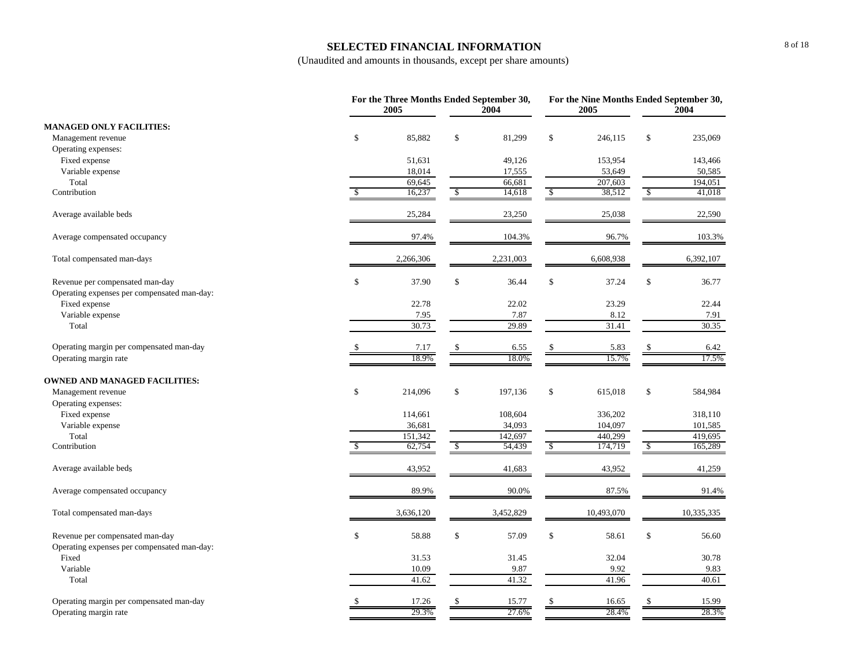#### **SELECTED FINANCIAL INFORMATION**

|                                             | For the Three Months Ended September 30,<br>2005 |              | 2004      |             | For the Nine Months Ended September 30,<br>2005<br>2004 |    |            |  |
|---------------------------------------------|--------------------------------------------------|--------------|-----------|-------------|---------------------------------------------------------|----|------------|--|
| <b>MANAGED ONLY FACILITIES:</b>             |                                                  |              |           |             |                                                         |    |            |  |
| Management revenue                          | \$<br>85,882                                     | \$           | 81,299    | \$          | 246,115                                                 | \$ | 235,069    |  |
| Operating expenses:                         |                                                  |              |           |             |                                                         |    |            |  |
| Fixed expense                               | 51,631                                           |              | 49,126    |             | 153,954                                                 |    | 143,466    |  |
| Variable expense                            | 18,014                                           |              | 17,555    |             | 53,649                                                  |    | 50,585     |  |
| Total                                       | 69,645                                           |              | 66,681    |             | 207,603                                                 |    | 194,051    |  |
| Contribution                                | 16,237                                           | \$           | 14,618    | \$          | 38,512                                                  | \$ | 41,018     |  |
| Average available beds                      | 25,284                                           |              | 23,250    |             | 25,038                                                  |    | 22,590     |  |
| Average compensated occupancy               | 97.4%                                            |              | 104.3%    |             | 96.7%                                                   |    | 103.3%     |  |
| Total compensated man-days                  | 2,266,306                                        |              | 2,231,003 |             | 6,608,938                                               |    | 6,392,107  |  |
| Revenue per compensated man-day             | \$<br>37.90                                      | \$           | 36.44     | \$          | 37.24                                                   | \$ | 36.77      |  |
| Operating expenses per compensated man-day: |                                                  |              |           |             |                                                         |    |            |  |
| Fixed expense                               | 22.78                                            |              | 22.02     |             | 23.29                                                   |    | 22.44      |  |
| Variable expense                            | 7.95                                             |              | 7.87      |             | 8.12                                                    |    | 7.91       |  |
| Total                                       | 30.73                                            |              | 29.89     |             | 31.41                                                   |    | 30.35      |  |
| Operating margin per compensated man-day    | 7.17                                             |              | 6.55      |             | 5.83                                                    |    | 6.42       |  |
| Operating margin rate                       | 18.9%                                            |              | 18.0%     |             | 15.7%                                                   |    | 17.5%      |  |
| <b>OWNED AND MANAGED FACILITIES:</b>        |                                                  |              |           |             |                                                         |    |            |  |
| Management revenue                          | \$<br>214,096                                    | \$           | 197,136   | \$          | 615,018                                                 | \$ | 584,984    |  |
| Operating expenses:                         |                                                  |              |           |             |                                                         |    |            |  |
| Fixed expense                               | 114,661                                          |              | 108,604   |             | 336,202                                                 |    | 318,110    |  |
| Variable expense                            | 36,681                                           |              | 34,093    |             | 104,097                                                 |    | 101,585    |  |
| Total                                       | 151,342                                          |              | 142,697   |             | 440,299                                                 |    | 419,695    |  |
| Contribution                                | 62,754                                           | \$           | 54,439    | \$          | 174,719                                                 | -S | 165,289    |  |
| Average available beds                      | 43,952                                           |              | 41,683    |             | 43,952                                                  |    | 41,259     |  |
| Average compensated occupancy               | 89.9%                                            |              | 90.0%     |             | 87.5%                                                   |    | 91.4%      |  |
| Total compensated man-days                  | 3,636,120                                        |              | 3,452,829 |             | 10,493,070                                              |    | 10,335,335 |  |
| Revenue per compensated man-day             | \$<br>58.88                                      | $\mathbb{S}$ | 57.09     | $\mathbb S$ | 58.61                                                   | \$ | 56.60      |  |
| Operating expenses per compensated man-day: |                                                  |              |           |             |                                                         |    |            |  |
| Fixed                                       | 31.53                                            |              | 31.45     |             | 32.04                                                   |    | 30.78      |  |
| Variable                                    | 10.09                                            |              | 9.87      |             | 9.92                                                    |    | 9.83       |  |
| Total                                       | 41.62                                            |              | 41.32     |             | 41.96                                                   |    | 40.61      |  |
| Operating margin per compensated man-day    | 17.26                                            | S            | 15.77     | \$          | 16.65                                                   | \$ | 15.99      |  |
| Operating margin rate                       | 29.3%                                            |              | 27.6%     |             | 28.4%                                                   |    | 28.3%      |  |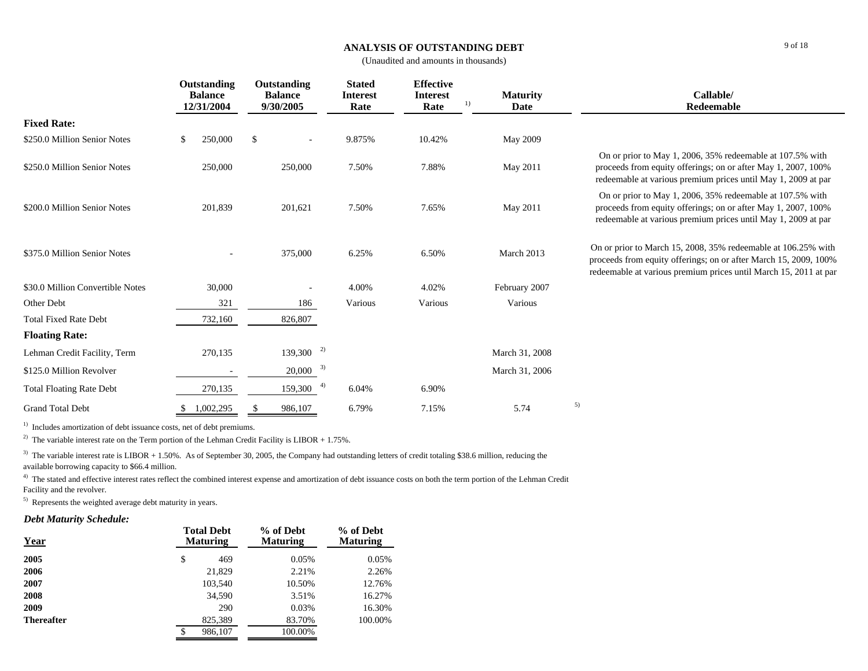#### **ANALYSIS OF OUTSTANDING DEBT**

(Unaudited and amounts in thousands)

|                                  | Outstanding<br><b>Balance</b><br>12/31/2004 | Outstanding<br><b>Balance</b><br>9/30/2005 | <b>Stated</b><br><b>Interest</b><br>Rate | <b>Effective</b><br><b>Interest</b><br>1)<br>Rate | Callable/<br><b>Maturity</b><br>Date<br>Redeemable |                                                                                                                                                                                                       |
|----------------------------------|---------------------------------------------|--------------------------------------------|------------------------------------------|---------------------------------------------------|----------------------------------------------------|-------------------------------------------------------------------------------------------------------------------------------------------------------------------------------------------------------|
| <b>Fixed Rate:</b>               |                                             |                                            |                                          |                                                   |                                                    |                                                                                                                                                                                                       |
| \$250.0 Million Senior Notes     | \$<br>250,000                               | \$                                         | 9.875%                                   | 10.42%                                            | May 2009                                           |                                                                                                                                                                                                       |
| \$250.0 Million Senior Notes     | 250,000                                     | 250,000                                    | 7.50%                                    | 7.88%                                             | May 2011                                           | On or prior to May 1, 2006, 35% redeemable at 107.5% with<br>proceeds from equity offerings; on or after May 1, 2007, 100%<br>redeemable at various premium prices until May 1, 2009 at par           |
| \$200.0 Million Senior Notes     | 201,839                                     | 201,621                                    | 7.50%                                    | 7.65%                                             | May 2011                                           | On or prior to May 1, 2006, 35% redeemable at 107.5% with<br>proceeds from equity offerings; on or after May 1, 2007, 100%<br>redeemable at various premium prices until May 1, 2009 at par           |
| \$375.0 Million Senior Notes     |                                             | 375,000                                    | 6.25%                                    | 6.50%                                             | March 2013                                         | On or prior to March 15, 2008, 35% redeemable at 106.25% with<br>proceeds from equity offerings; on or after March 15, 2009, 100%<br>redeemable at various premium prices until March 15, 2011 at par |
| \$30.0 Million Convertible Notes | 30,000                                      |                                            | 4.00%                                    | 4.02%                                             | February 2007                                      |                                                                                                                                                                                                       |
| Other Debt                       | 321                                         | 186                                        | Various                                  | Various                                           | Various                                            |                                                                                                                                                                                                       |
| <b>Total Fixed Rate Debt</b>     | 732,160                                     | 826,807                                    |                                          |                                                   |                                                    |                                                                                                                                                                                                       |
| <b>Floating Rate:</b>            |                                             |                                            |                                          |                                                   |                                                    |                                                                                                                                                                                                       |
| Lehman Credit Facility, Term     | 270,135                                     | 2)<br>139,300                              |                                          |                                                   | March 31, 2008                                     |                                                                                                                                                                                                       |
| \$125.0 Million Revolver         |                                             | 3)<br>20,000                               |                                          |                                                   | March 31, 2006                                     |                                                                                                                                                                                                       |
| <b>Total Floating Rate Debt</b>  | 270,135                                     | 4)<br>159,300                              | 6.04%                                    | 6.90%                                             |                                                    |                                                                                                                                                                                                       |
| <b>Grand Total Debt</b>          | 1,002,295                                   | 986,107                                    | 6.79%                                    | 7.15%                                             | 5.74                                               | 5)                                                                                                                                                                                                    |

<sup>1)</sup> Includes amortization of debt issuance costs, net of debt premiums.

<sup>2)</sup> The variable interest rate on the Term portion of the Lehman Credit Facility is LIBOR + 1.75%.

 $3)$  The variable interest rate is LIBOR + 1.50%. As of September 30, 2005, the Company had outstanding letters of credit totaling \$38.6 million, reducing the available borrowing capacity to \$66.4 million.

<sup>4)</sup> The stated and effective interest rates reflect the combined interest expense and amortization of debt issuance costs on both the term portion of the Lehman Credit Facility and the revolver.

5) Represents the weighted average debt maturity in years.

## *Debt Maturity Schedule:*

| Year              | <b>Total Debt</b><br><b>Maturing</b> | % of Debt<br><b>Maturing</b> | % of Debt<br><b>Maturing</b> |
|-------------------|--------------------------------------|------------------------------|------------------------------|
| 2005              | \$<br>469                            | 0.05%                        | 0.05%                        |
| 2006              | 21,829                               | 2.21%                        | 2.26%                        |
| 2007              | 103,540                              | 10.50%                       | 12.76%                       |
| 2008              | 34,590                               | 3.51%                        | 16.27%                       |
| 2009              | 290                                  | 0.03%                        | 16.30%                       |
| <b>Thereafter</b> | 825,389                              | 83.70%                       | 100.00%                      |
|                   | 986,107<br>\$                        | 100.00%                      |                              |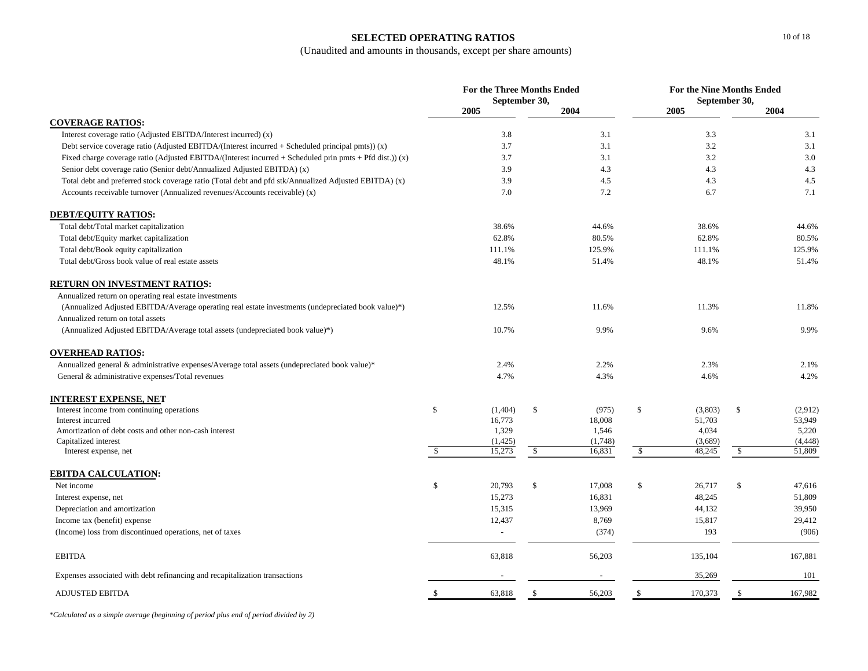## **SELECTED OPERATING RATIOS**

## (Unaudited and amounts in thousands, except per share amounts)

|                                                                                                         |               | <b>For the Three Months Ended</b> | September 30, |                   | <b>For the Nine Months Ended</b><br>September 30, |                   |    |                    |  |
|---------------------------------------------------------------------------------------------------------|---------------|-----------------------------------|---------------|-------------------|---------------------------------------------------|-------------------|----|--------------------|--|
|                                                                                                         | 2005          |                                   |               | 2004              |                                                   | 2005              |    | 2004               |  |
| <b>COVERAGE RATIOS:</b>                                                                                 |               |                                   |               |                   |                                                   |                   |    |                    |  |
| Interest coverage ratio (Adjusted EBITDA/Interest incurred) (x)                                         |               | 3.8                               |               | 3.1               |                                                   | 3.3               |    | 3.1                |  |
| Debt service coverage ratio (Adjusted EBITDA/(Interest incurred $+$ Scheduled principal pmts)) (x)      |               | 3.7                               |               | 3.1               |                                                   | 3.2               |    | 3.1                |  |
| Fixed charge coverage ratio (Adjusted EBITDA/(Interest incurred + Scheduled prin pmts + Pfd dist.)) (x) |               | 3.7                               |               | 3.1               |                                                   | 3.2               |    | 3.0                |  |
| Senior debt coverage ratio (Senior debt/Annualized Adjusted EBITDA) (x)                                 |               | 3.9                               |               | 4.3               |                                                   | 4.3               |    | 4.3                |  |
| Total debt and preferred stock coverage ratio (Total debt and pfd stk/Annualized Adjusted EBITDA) (x)   |               | 3.9                               |               | 4.5               |                                                   | 4.3               |    | 4.5                |  |
| Accounts receivable turnover (Annualized revenues/Accounts receivable) (x)                              |               | 7.0                               |               | 7.2               |                                                   | 6.7               |    | 7.1                |  |
| <b>DEBT/EQUITY RATIOS:</b>                                                                              |               |                                   |               |                   |                                                   |                   |    |                    |  |
| Total debt/Total market capitalization                                                                  |               | 38.6%                             |               | 44.6%             |                                                   | 38.6%             |    | 44.6%              |  |
| Total debt/Equity market capitalization                                                                 |               | 62.8%                             |               | 80.5%             |                                                   | 62.8%             |    | 80.5%              |  |
| Total debt/Book equity capitalization                                                                   |               | 111.1%                            |               | 125.9%            |                                                   | 111.1%            |    | 125.9%             |  |
| Total debt/Gross book value of real estate assets                                                       |               | 48.1%                             |               | 51.4%             |                                                   | 48.1%             |    | 51.4%              |  |
| <b>RETURN ON INVESTMENT RATIOS:</b>                                                                     |               |                                   |               |                   |                                                   |                   |    |                    |  |
| Annualized return on operating real estate investments                                                  |               |                                   |               |                   |                                                   |                   |    |                    |  |
| (Annualized Adjusted EBITDA/Average operating real estate investments (undepreciated book value)*)      |               | 12.5%                             |               | 11.6%             |                                                   | 11.3%             |    | 11.8%              |  |
| Annualized return on total assets                                                                       |               |                                   |               |                   |                                                   |                   |    |                    |  |
| (Annualized Adjusted EBITDA/Average total assets (undepreciated book value)*)                           |               | 10.7%                             |               | 9.9%              |                                                   | 9.6%              |    | 9.9%               |  |
| <b>OVERHEAD RATIOS:</b>                                                                                 |               |                                   |               |                   |                                                   |                   |    |                    |  |
| Annualized general & administrative expenses/Average total assets (undepreciated book value)*           |               | 2.4%                              |               | 2.2%              |                                                   | 2.3%              |    | 2.1%               |  |
| General & administrative expenses/Total revenues                                                        |               | 4.7%                              |               | 4.3%              |                                                   | 4.6%              |    | 4.2%               |  |
| <u>INTEREST EXPENSE, NET</u>                                                                            |               |                                   |               |                   |                                                   |                   |    |                    |  |
| Interest income from continuing operations                                                              | \$            | (1,404)                           | \$            | (975)             | \$                                                | (3,803)           | \$ | (2,912)            |  |
| Interest incurred                                                                                       |               | 16,773                            |               | 18,008            |                                                   | 51,703            |    | 53,949             |  |
| Amortization of debt costs and other non-cash interest                                                  |               | 1,329                             |               | 1,546             |                                                   | 4,034             |    | 5,220              |  |
| Capitalized interest<br>Interest expense, net                                                           | $\mathcal{S}$ | (1, 425)<br>15,273                | \$            | (1,748)<br>16,831 | \$                                                | (3,689)<br>48,245 | \$ | (4, 448)<br>51,809 |  |
|                                                                                                         |               |                                   |               |                   |                                                   |                   |    |                    |  |
| <b>EBITDA CALCULATION:</b>                                                                              |               |                                   |               |                   |                                                   |                   |    |                    |  |
| Net income                                                                                              | \$            | 20,793                            | \$            | 17,008            | \$                                                | 26,717            | \$ | 47,616             |  |
| Interest expense, net                                                                                   |               | 15,273                            |               | 16,831            |                                                   | 48,245            |    | 51,809             |  |
| Depreciation and amortization                                                                           |               | 15.315                            |               | 13,969            |                                                   | 44,132            |    | 39,950             |  |
| Income tax (benefit) expense                                                                            |               | 12,437                            |               | 8,769             |                                                   | 15,817            |    | 29,412             |  |
| (Income) loss from discontinued operations, net of taxes                                                |               | $\overline{a}$                    |               | (374)             |                                                   | 193               |    | (906)              |  |
| <b>EBITDA</b>                                                                                           |               | 63,818                            |               | 56,203            |                                                   | 135,104           |    | 167,881            |  |
| Expenses associated with debt refinancing and recapitalization transactions                             |               |                                   |               | $\sim$            |                                                   | 35,269            |    | 101                |  |
| <b>ADJUSTED EBITDA</b>                                                                                  | \$            | 63,818                            | \$            | 56,203            | \$                                                | 170,373           | \$ | 167,982            |  |

*\*Calculated as a simple average (beginning of period plus end of period divided by 2)*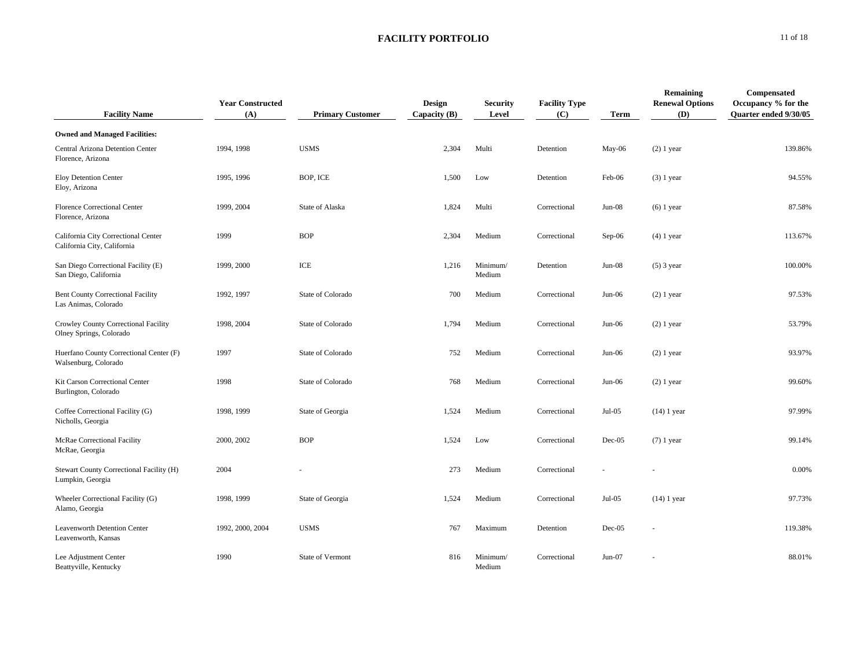| <b>Facility Name</b>                                               | <b>Year Constructed</b><br>(A) | <b>Primary Customer</b> | Design<br>Capacity $(B)$ | <b>Security</b><br>Level | <b>Facility Type</b><br>(C) | Term     | Remaining<br><b>Renewal Options</b><br><b>(D)</b> | Compensated<br>Occupancy % for the<br><b>Ouarter ended 9/30/05</b> |
|--------------------------------------------------------------------|--------------------------------|-------------------------|--------------------------|--------------------------|-----------------------------|----------|---------------------------------------------------|--------------------------------------------------------------------|
| <b>Owned and Managed Facilities:</b>                               |                                |                         |                          |                          |                             |          |                                                   |                                                                    |
| Central Arizona Detention Center<br>Florence, Arizona              | 1994, 1998                     | <b>USMS</b>             | 2,304                    | Multi                    | Detention                   | May-06   | $(2)$ 1 year                                      | 139.86%                                                            |
| Eloy Detention Center<br>Eloy, Arizona                             | 1995, 1996                     | BOP, ICE                | 1,500                    | Low                      | Detention                   | Feb-06   | $(3)$ 1 year                                      | 94.55%                                                             |
| <b>Florence Correctional Center</b><br>Florence, Arizona           | 1999, 2004                     | State of Alaska         | 1,824                    | Multi                    | Correctional                | $Jun-08$ | $(6)$ 1 year                                      | 87.58%                                                             |
| California City Correctional Center<br>California City, California | 1999                           | <b>BOP</b>              | 2,304                    | Medium                   | Correctional                | $Sep-06$ | $(4)$ 1 year                                      | 113.67%                                                            |
| San Diego Correctional Facility (E)<br>San Diego, California       | 1999, 2000                     | ICE                     | 1,216                    | Minimum/<br>Medium       | Detention                   | $Jun-08$ | $(5)$ 3 year                                      | 100.00%                                                            |
| Bent County Correctional Facility<br>Las Animas, Colorado          | 1992, 1997                     | State of Colorado       | 700                      | Medium                   | Correctional                | $Jun-06$ | $(2)$ 1 year                                      | 97.53%                                                             |
| Crowley County Correctional Facility<br>Olney Springs, Colorado    | 1998, 2004                     | State of Colorado       | 1,794                    | Medium                   | Correctional                | $Jun-06$ | $(2)$ 1 year                                      | 53.79%                                                             |
| Huerfano County Correctional Center (F)<br>Walsenburg, Colorado    | 1997                           | State of Colorado       | 752                      | Medium                   | Correctional                | $Jun-06$ | $(2)$ 1 year                                      | 93.97%                                                             |
| Kit Carson Correctional Center<br>Burlington, Colorado             | 1998                           | State of Colorado       | 768                      | Medium                   | Correctional                | $Jun-06$ | $(2)$ 1 year                                      | 99.60%                                                             |
| Coffee Correctional Facility (G)<br>Nicholls, Georgia              | 1998, 1999                     | State of Georgia        | 1,524                    | Medium                   | Correctional                | $Jul-05$ | $(14)$ 1 year                                     | 97.99%                                                             |
| McRae Correctional Facility<br>McRae, Georgia                      | 2000, 2002                     | <b>BOP</b>              | 1,524                    | Low                      | Correctional                | $Dec-05$ | $(7)$ 1 year                                      | 99.14%                                                             |
| Stewart County Correctional Facility (H)<br>Lumpkin, Georgia       | 2004                           |                         | 273                      | Medium                   | Correctional                |          |                                                   | 0.00%                                                              |
| Wheeler Correctional Facility (G)<br>Alamo, Georgia                | 1998, 1999                     | State of Georgia        | 1,524                    | Medium                   | Correctional                | $Jul-05$ | $(14)$ 1 year                                     | 97.73%                                                             |
| Leavenworth Detention Center<br>Leavenworth, Kansas                | 1992, 2000, 2004               | <b>USMS</b>             | 767                      | Maximum                  | Detention                   | $Dec-05$ |                                                   | 119.38%                                                            |
| Lee Adjustment Center<br>Beattyville, Kentucky                     | 1990                           | State of Vermont        | 816                      | Minimum/<br>Medium       | Correctional                | $Jun-07$ |                                                   | 88.01%                                                             |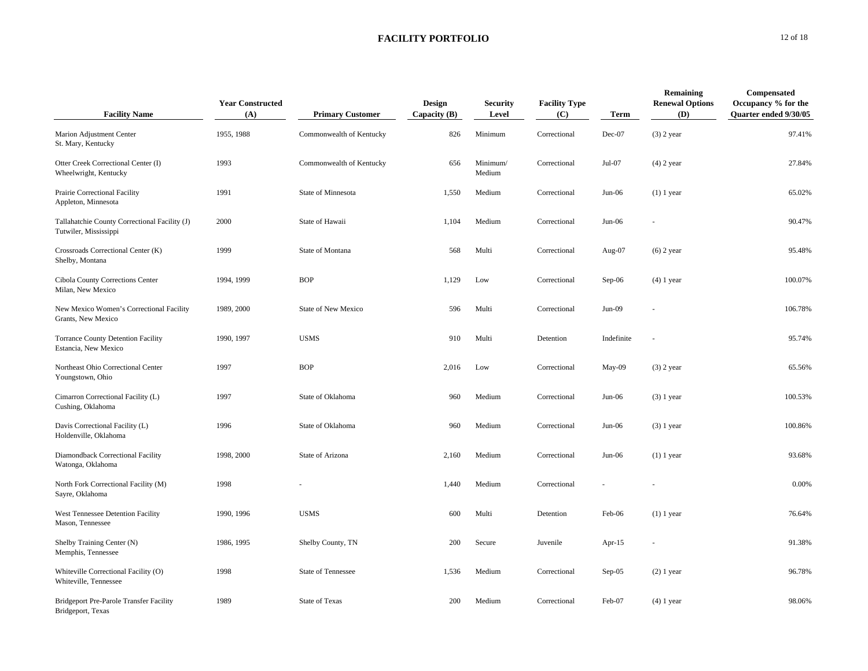| <b>Facility Name</b>                                                   | <b>Year Constructed</b><br>(A) | <b>Primary Customer</b>   | Design<br>Capacity $(B)$ | <b>Security</b><br>Level | <b>Facility Type</b><br>(C) | <b>Term</b> | <b>Remaining</b><br><b>Renewal Options</b><br>(D) | Compensated<br>Occupancy % for the<br><b>Ouarter ended 9/30/05</b> |
|------------------------------------------------------------------------|--------------------------------|---------------------------|--------------------------|--------------------------|-----------------------------|-------------|---------------------------------------------------|--------------------------------------------------------------------|
| Marion Adjustment Center<br>St. Mary, Kentucky                         | 1955, 1988                     | Commonwealth of Kentucky  | 826                      | Minimum                  | Correctional                | Dec-07      | $(3)$ 2 year                                      | 97.41%                                                             |
| Otter Creek Correctional Center (I)<br>Wheelwright, Kentucky           | 1993                           | Commonwealth of Kentucky  | 656                      | Minimum/<br>Medium       | Correctional                | $Jul-07$    | $(4)$ 2 year                                      | 27.84%                                                             |
| Prairie Correctional Facility<br>Appleton, Minnesota                   | 1991                           | State of Minnesota        | 1,550                    | Medium                   | Correctional                | $Jun-06$    | $(1)$ 1 year                                      | 65.02%                                                             |
| Tallahatchie County Correctional Facility (J)<br>Tutwiler, Mississippi | 2000                           | State of Hawaii           | 1,104                    | Medium                   | Correctional                | $Jun-06$    |                                                   | 90.47%                                                             |
| Crossroads Correctional Center (K)<br>Shelby, Montana                  | 1999                           | State of Montana          | 568                      | Multi                    | Correctional                | Aug-07      | $(6)$ 2 year                                      | 95.48%                                                             |
| Cibola County Corrections Center<br>Milan, New Mexico                  | 1994, 1999                     | <b>BOP</b>                | 1,129                    | Low                      | Correctional                | $Sep-06$    | $(4)$ 1 year                                      | 100.07%                                                            |
| New Mexico Women's Correctional Facility<br>Grants, New Mexico         | 1989, 2000                     | State of New Mexico       | 596                      | Multi                    | Correctional                | $Jun-09$    |                                                   | 106.78%                                                            |
| <b>Torrance County Detention Facility</b><br>Estancia, New Mexico      | 1990, 1997                     | <b>USMS</b>               | 910                      | Multi                    | Detention                   | Indefinite  |                                                   | 95.74%                                                             |
| Northeast Ohio Correctional Center<br>Youngstown, Ohio                 | 1997                           | <b>BOP</b>                | 2,016                    | Low                      | Correctional                | May-09      | $(3)$ 2 year                                      | 65.56%                                                             |
| Cimarron Correctional Facility (L)<br>Cushing, Oklahoma                | 1997                           | State of Oklahoma         | 960                      | Medium                   | Correctional                | $Jun-06$    | $(3)$ 1 year                                      | 100.53%                                                            |
| Davis Correctional Facility (L)<br>Holdenville, Oklahoma               | 1996                           | State of Oklahoma         | 960                      | Medium                   | Correctional                | $Jun-06$    | $(3)$ 1 year                                      | 100.86%                                                            |
| Diamondback Correctional Facility<br>Watonga, Oklahoma                 | 1998, 2000                     | State of Arizona          | 2,160                    | Medium                   | Correctional                | $Jun-06$    | $(1)$ 1 year                                      | 93.68%                                                             |
| North Fork Correctional Facility (M)<br>Sayre, Oklahoma                | 1998                           |                           | 1,440                    | Medium                   | Correctional                |             |                                                   | 0.00%                                                              |
| West Tennessee Detention Facility<br>Mason, Tennessee                  | 1990, 1996                     | <b>USMS</b>               | 600                      | Multi                    | Detention                   | Feb-06      | $(1)$ 1 year                                      | 76.64%                                                             |
| Shelby Training Center (N)<br>Memphis, Tennessee                       | 1986, 1995                     | Shelby County, TN         | 200                      | Secure                   | Juvenile                    | Apr- $15$   |                                                   | 91.38%                                                             |
| Whiteville Correctional Facility (O)<br>Whiteville, Tennessee          | 1998                           | <b>State of Tennessee</b> | 1,536                    | Medium                   | Correctional                | $Sep-05$    | $(2)$ 1 year                                      | 96.78%                                                             |
| <b>Bridgeport Pre-Parole Transfer Facility</b><br>Bridgeport, Texas    | 1989                           | State of Texas            | 200                      | Medium                   | Correctional                | Feb-07      | $(4)$ 1 year                                      | 98.06%                                                             |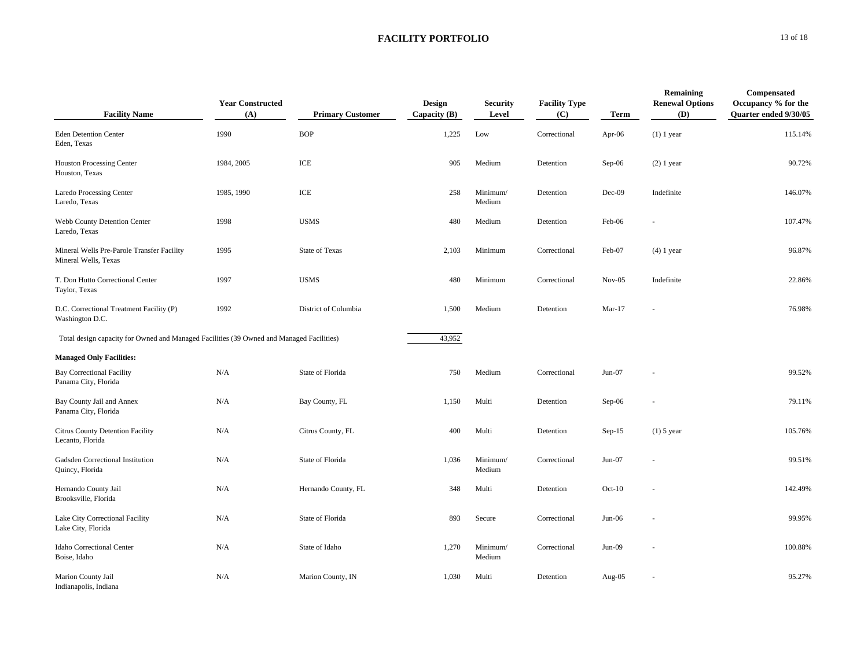| <b>Facility Name</b>                                                                     | <b>Year Constructed</b><br>(A) | <b>Primary Customer</b> | <b>Design</b><br>Capacity $(B)$ | <b>Security</b><br>Level | <b>Facility Type</b><br>(C) | <b>Term</b> | Remaining<br><b>Renewal Options</b><br>(D) | Compensated<br>Occupancy % for the<br>Quarter ended 9/30/05 |
|------------------------------------------------------------------------------------------|--------------------------------|-------------------------|---------------------------------|--------------------------|-----------------------------|-------------|--------------------------------------------|-------------------------------------------------------------|
| <b>Eden Detention Center</b><br>Eden, Texas                                              | 1990                           | <b>BOP</b>              | 1,225                           | Low                      | Correctional                | Apr-06      | $(1)$ 1 year                               | 115.14%                                                     |
| <b>Houston Processing Center</b><br>Houston, Texas                                       | 1984, 2005                     | ICE                     | 905                             | Medium                   | Detention                   | $Sep-06$    | $(2)$ 1 year                               | 90.72%                                                      |
| Laredo Processing Center<br>Laredo, Texas                                                | 1985, 1990                     | ICE                     | 258                             | Minimum/<br>Medium       | Detention                   | $Dec-09$    | Indefinite                                 | 146.07%                                                     |
| Webb County Detention Center<br>Laredo, Texas                                            | 1998                           | <b>USMS</b>             | 480                             | Medium                   | Detention                   | Feb-06      |                                            | 107.47%                                                     |
| Mineral Wells Pre-Parole Transfer Facility<br>Mineral Wells, Texas                       | 1995                           | <b>State of Texas</b>   | 2,103                           | Minimum                  | Correctional                | Feb-07      | $(4)$ 1 year                               | 96.87%                                                      |
| T. Don Hutto Correctional Center<br>Taylor, Texas                                        | 1997                           | <b>USMS</b>             | 480                             | Minimum                  | Correctional                | $Nov-05$    | Indefinite                                 | 22.86%                                                      |
| D.C. Correctional Treatment Facility (P)<br>Washington D.C.                              | 1992                           | District of Columbia    | 1,500                           | Medium                   | Detention                   | $Mar-17$    |                                            | 76.98%                                                      |
| Total design capacity for Owned and Managed Facilities (39 Owned and Managed Facilities) |                                |                         | 43,952                          |                          |                             |             |                                            |                                                             |
| <b>Managed Only Facilities:</b>                                                          |                                |                         |                                 |                          |                             |             |                                            |                                                             |
| <b>Bay Correctional Facility</b><br>Panama City, Florida                                 | N/A                            | State of Florida        | 750                             | Medium                   | Correctional                | $Jun-07$    |                                            | 99.52%                                                      |
| Bay County Jail and Annex<br>Panama City, Florida                                        | N/A                            | Bay County, FL          | 1,150                           | Multi                    | Detention                   | Sep-06      |                                            | 79.11%                                                      |
| Citrus County Detention Facility<br>Lecanto, Florida                                     | N/A                            | Citrus County, FL       | 400                             | Multi                    | Detention                   | $Sep-15$    | $(1)$ 5 year                               | 105.76%                                                     |
| Gadsden Correctional Institution<br>Quincy, Florida                                      | N/A                            | State of Florida        | 1,036                           | Minimum/<br>Medium       | Correctional                | $Jun-07$    |                                            | 99.51%                                                      |
| Hernando County Jail<br>Brooksville, Florida                                             | N/A                            | Hernando County, FL     | 348                             | Multi                    | Detention                   | $Oct-10$    |                                            | 142.49%                                                     |
| Lake City Correctional Facility<br>Lake City, Florida                                    | N/A                            | State of Florida        | 893                             | Secure                   | Correctional                | $Jun-06$    |                                            | 99.95%                                                      |
| Idaho Correctional Center<br>Boise, Idaho                                                | N/A                            | State of Idaho          | 1,270                           | Minimum/<br>Medium       | Correctional                | $Jun-09$    |                                            | 100.88%                                                     |
| Marion County Jail<br>Indianapolis, Indiana                                              | N/A                            | Marion County, IN       | 1,030                           | Multi                    | Detention                   | Aug-05      |                                            | 95.27%                                                      |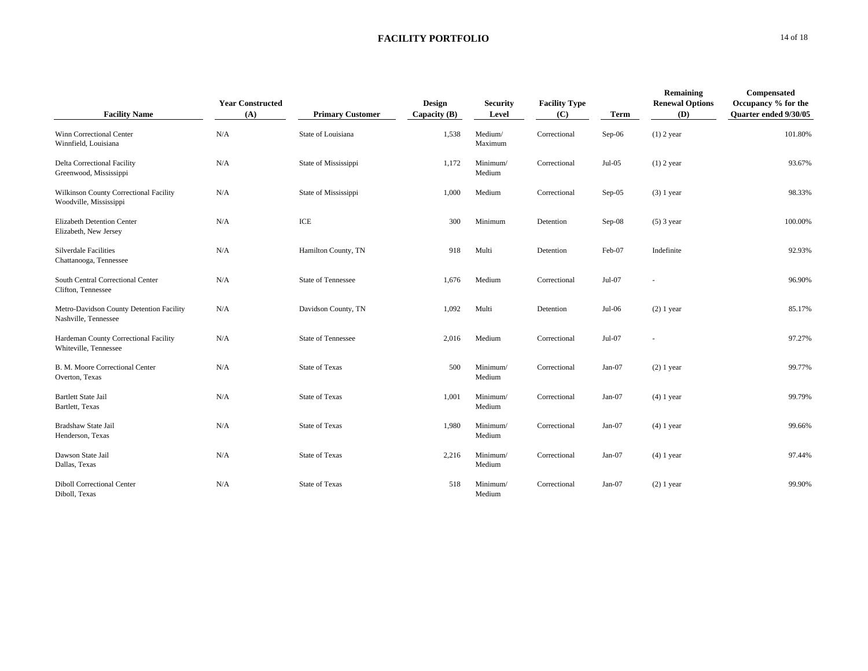| <b>Facility Name</b>                                             | <b>Year Constructed</b><br>(A) | <b>Primary Customer</b>   | <b>Design</b><br>Capacity $(B)$ | <b>Security</b><br>Level | <b>Facility Type</b><br>(C) | <b>Term</b> | Remaining<br><b>Renewal Options</b><br><b>(D)</b> | Compensated<br>Occupancy % for the<br>Quarter ended 9/30/05 |
|------------------------------------------------------------------|--------------------------------|---------------------------|---------------------------------|--------------------------|-----------------------------|-------------|---------------------------------------------------|-------------------------------------------------------------|
| Winn Correctional Center<br>Winnfield, Louisiana                 | N/A                            | State of Louisiana        | 1,538                           | Medium/<br>Maximum       | Correctional                | Sep-06      | $(1)$ 2 year                                      | 101.80%                                                     |
| Delta Correctional Facility<br>Greenwood, Mississippi            | N/A                            | State of Mississippi      | 1,172                           | Minimum/<br>Medium       | Correctional                | $Jul-05$    | $(1)$ 2 year                                      | 93.67%                                                      |
| Wilkinson County Correctional Facility<br>Woodville, Mississippi | N/A                            | State of Mississippi      | 1,000                           | Medium                   | Correctional                | $Sep-05$    | $(3)$ 1 year                                      | 98.33%                                                      |
| Elizabeth Detention Center<br>Elizabeth, New Jersey              | N/A                            | ICE                       | 300                             | Minimum                  | Detention                   | $Sep-08$    | $(5)$ 3 year                                      | 100.00%                                                     |
| <b>Silverdale Facilities</b><br>Chattanooga, Tennessee           | N/A                            | Hamilton County, TN       | 918                             | Multi                    | Detention                   | Feb-07      | Indefinite                                        | 92.93%                                                      |
| South Central Correctional Center<br>Clifton, Tennessee          | N/A                            | <b>State of Tennessee</b> | 1,676                           | Medium                   | Correctional                | Jul-07      |                                                   | 96.90%                                                      |
| Metro-Davidson County Detention Facility<br>Nashville, Tennessee | N/A                            | Davidson County, TN       | 1,092                           | Multi                    | Detention                   | Jul-06      | $(2)$ 1 year                                      | 85.17%                                                      |
| Hardeman County Correctional Facility<br>Whiteville, Tennessee   | N/A                            | <b>State of Tennessee</b> | 2.016                           | Medium                   | Correctional                | $Jul-07$    |                                                   | 97.27%                                                      |
| B. M. Moore Correctional Center<br>Overton, Texas                | N/A                            | <b>State of Texas</b>     | 500                             | Minimum/<br>Medium       | Correctional                | $Jan-07$    | $(2)$ 1 year                                      | 99.77%                                                      |
| <b>Bartlett State Jail</b><br>Bartlett, Texas                    | N/A                            | <b>State of Texas</b>     | 1,001                           | Minimum/<br>Medium       | Correctional                | Jan-07      | $(4)$ 1 year                                      | 99.79%                                                      |
| Bradshaw State Jail<br>Henderson, Texas                          | N/A                            | <b>State of Texas</b>     | 1,980                           | Minimum/<br>Medium       | Correctional                | $Jan-07$    | $(4)$ 1 year                                      | 99.66%                                                      |
| Dawson State Jail<br>Dallas, Texas                               | N/A                            | <b>State of Texas</b>     | 2,216                           | Minimum/<br>Medium       | Correctional                | $Jan-07$    | $(4)$ 1 year                                      | 97.44%                                                      |
| <b>Diboll Correctional Center</b><br>Diboll, Texas               | N/A                            | <b>State of Texas</b>     | 518                             | Minimum/<br>Medium       | Correctional                | $Jan-07$    | $(2)$ 1 year                                      | 99.90%                                                      |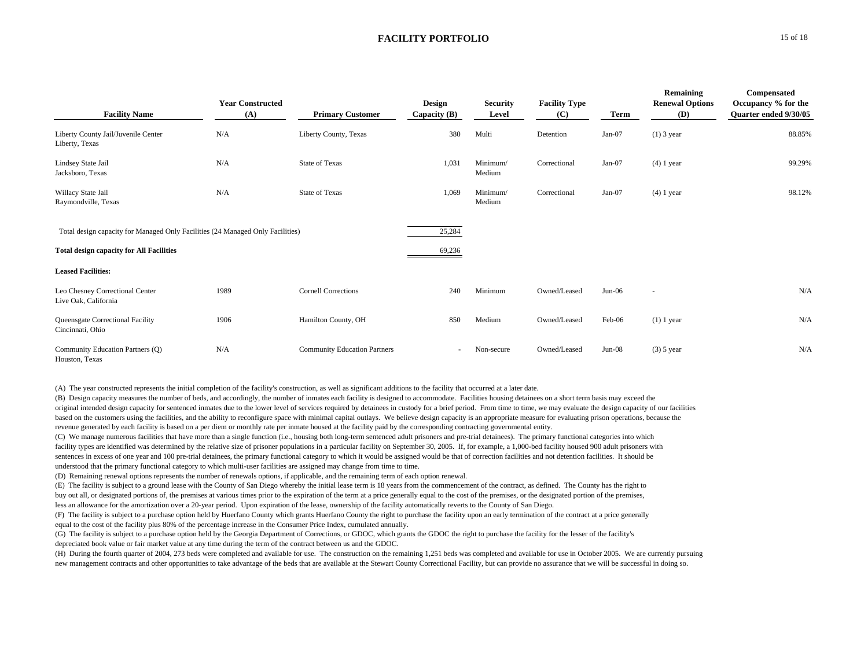| <b>Facility Name</b>                                                           | <b>Year Constructed</b><br>(A) | <b>Primary Customer</b>             | <b>Design</b><br>Capacity $(B)$ | <b>Security</b><br>Level | <b>Facility Type</b><br>(C) | Term     | Remaining<br><b>Renewal Options</b><br>(D) | Compensated<br>Occupancy % for the<br>Quarter ended 9/30/05 |
|--------------------------------------------------------------------------------|--------------------------------|-------------------------------------|---------------------------------|--------------------------|-----------------------------|----------|--------------------------------------------|-------------------------------------------------------------|
| Liberty County Jail/Juvenile Center<br>Liberty, Texas                          | N/A                            | Liberty County, Texas               | 380                             | Multi                    | Detention                   | $Jan-07$ | $(1)$ 3 year                               | 88.85%                                                      |
| Lindsey State Jail<br>Jacksboro, Texas                                         | N/A                            | <b>State of Texas</b>               | 1,031                           | Minimum/<br>Medium       | Correctional                | $Jan-07$ | $(4)$ 1 year                               | 99.29%                                                      |
| Willacy State Jail<br>Raymondville, Texas                                      | N/A                            | <b>State of Texas</b>               | 1,069                           | Minimum/<br>Medium       | Correctional                | $Jan-07$ | $(4)$ 1 year                               | 98.12%                                                      |
| Total design capacity for Managed Only Facilities (24 Managed Only Facilities) |                                |                                     | 25,284                          |                          |                             |          |                                            |                                                             |
| <b>Total design capacity for All Facilities</b>                                |                                |                                     | 69,236                          |                          |                             |          |                                            |                                                             |
| <b>Leased Facilities:</b>                                                      |                                |                                     |                                 |                          |                             |          |                                            |                                                             |
| Leo Chesney Correctional Center<br>Live Oak, California                        | 1989                           | <b>Cornell Corrections</b>          | 240                             | Minimum                  | Owned/Leased                | $Jun-06$ | $\overline{\phantom{a}}$                   | N/A                                                         |
| Queensgate Correctional Facility<br>Cincinnati, Ohio                           | 1906                           | Hamilton County, OH                 | 850                             | Medium                   | Owned/Leased                | Feb-06   | $(1)$ 1 year                               | N/A                                                         |
| Community Education Partners (Q)<br>Houston, Texas                             | N/A                            | <b>Community Education Partners</b> |                                 | Non-secure               | Owned/Leased                | $Jun-08$ | $(3)$ 5 year                               | N/A                                                         |

(A) The year constructed represents the initial completion of the facility's construction, as well as significant additions to the facility that occurred at a later date.

(B) Design capacity measures the number of beds, and accordingly, the number of inmates each facility is designed to accommodate. Facilities housing detainees on a short term basis may exceed the original intended design capacity for sentenced inmates due to the lower level of services required by detainees in custody for a brief period. From time to time, we may evaluate the design capacity of our facilities based on the customers using the facilities, and the ability to reconfigure space with minimal capital outlays. We believe design capacity is an appropriate measure for evaluating prison operations, because the revenue generated by each facility is based on a per diem or monthly rate per inmate housed at the facility paid by the corresponding contracting governmental entity.

(C) We manage numerous facilities that have more than a single function (i.e., housing both long-term sentenced adult prisoners and pre-trial detainees). The primary functional categories into which facility types are identified was determined by the relative size of prisoner populations in a particular facility on September 30, 2005. If, for example, a 1,000-bed facility housed 900 adult prisoners with sentences in excess of one year and 100 pre-trial detainees, the primary functional category to which it would be assigned would be that of correction facilities and not detention facilities. It should be understood that the primary functional category to which multi-user facilities are assigned may change from time to time.

(D) Remaining renewal options represents the number of renewals options, if applicable, and the remaining term of each option renewal.

(E) The facility is subject to a ground lease with the County of San Diego whereby the initial lease term is 18 years from the commencement of the contract, as defined. The County has the right to

buy out all, or designated portions of, the premises at various times prior to the expiration of the term at a price generally equal to the cost of the premises, or the designated portion of the premises,

less an allowance for the amortization over a 20-year period. Upon expiration of the lease, ownership of the facility automatically reverts to the County of San Diego.

(F) The facility is subject to a purchase option held by Huerfano County which grants Huerfano County the right to purchase the facility upon an early termination of the contract at a price generally equal to the cost of the facility plus 80% of the percentage increase in the Consumer Price Index, cumulated annually.

(G) The facility is subject to a purchase option held by the Georgia Department of Corrections, or GDOC, which grants the GDOC the right to purchase the facility for the lesser of the facility's depreciated book value or fair market value at any time during the term of the contract between us and the GDOC.

(H) During the fourth quarter of 2004, 273 beds were completed and available for use. The construction on the remaining 1,251 beds was completed and available for use in October 2005. We are currently pursuing new management contracts and other opportunities to take advantage of the beds that are available at the Stewart County Correctional Facility, but can provide no assurance that we will be successful in doing so.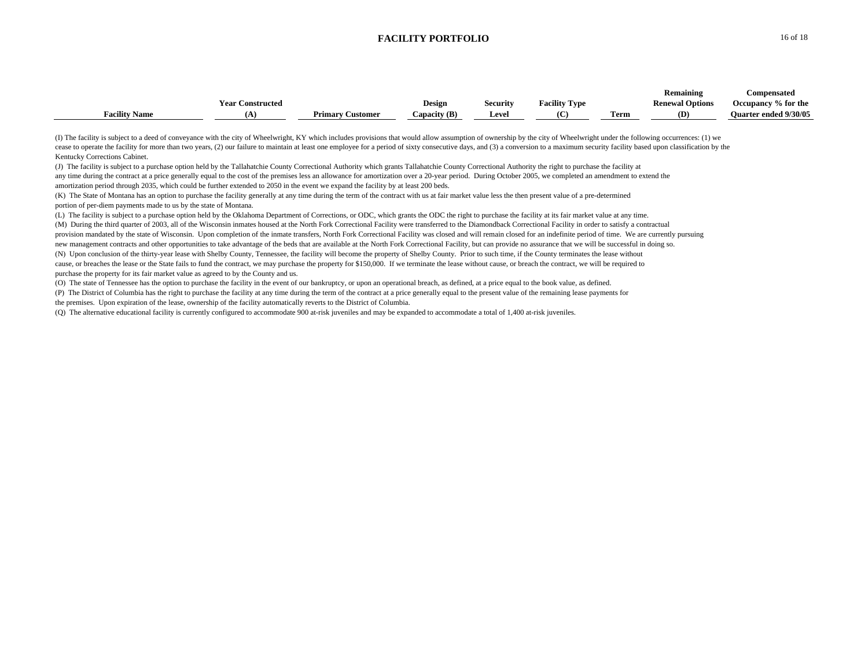|                      |                  |                            |              |          |                      |      | Remaining              | <b>Compensated</b>           |
|----------------------|------------------|----------------------------|--------------|----------|----------------------|------|------------------------|------------------------------|
|                      | Year Constructed |                            | Design       | Security | <b>Facility Type</b> |      | <b>Renewal Options</b> | Occupancy % for the          |
| <b>Facility Name</b> |                  | Primary<br><b>Customer</b> | Capacity (B) | Leve.    | $\alpha$             | Ferm | (D)                    | <b>Ouarter ended 9/30/05</b> |

(I) The facility is subject to a deed of conveyance with the city of Wheelwright, KY which includes provisions that would allow assumption of ownership by the city of Wheelwright under the following occurrences: (1) we cease to operate the facility for more than two years, (2) our failure to maintain at least one employee for a period of sixty consecutive days, and (3) a conversion to a maximum security facility based upon classification Kentucky Corrections Cabinet.

(J) The facility is subject to a purchase option held by the Tallahatchie County Correctional Authority which grants Tallahatchie County Correctional Authority the right to purchase the facility at any time during the contract at a price generally equal to the cost of the premises less an allowance for amortization over a 20-year period. During October 2005, we completed an amendment to extend the amortization period through 2035, which could be further extended to 2050 in the event we expand the facility by at least 200 beds.

(K) The State of Montana has an option to purchase the facility generally at any time during the term of the contract with us at fair market value less the then present value of a pre-determined portion of per-diem payments made to us by the state of Montana.

(L) The facility is subject to a purchase option held by the Oklahoma Department of Corrections, or ODC, which grants the ODC the right to purchase the facility at its fair market value at any time. (M) During the third quarter of 2003, all of the Wisconsin inmates housed at the North Fork Correctional Facility were transferred to the Diamondback Correctional Facility in order to satisfy a contractual provision mandated by the state of Wisconsin. Upon completion of the inmate transfers, North Fork Correctional Facility was closed and will remain closed for an indefinite period of time. We are currently pursuing new management contracts and other opportunities to take advantage of the beds that are available at the North Fork Correctional Facility, but can provide no assurance that we will be successful in doing so. (N) Upon conclusion of the thirty-year lease with Shelby County, Tennessee, the facility will become the property of Shelby County. Prior to such time, if the County terminates the lease without cause, or breaches the lease or the State fails to fund the contract, we may purchase the property for \$150,000. If we terminate the lease without cause, or breach the contract, we will be required to purchase the property for its fair market value as agreed to by the County and us.

(O) The state of Tennessee has the option to purchase the facility in the event of our bankruptcy, or upon an operational breach, as defined, at a price equal to the book value, as defined.

(P) The District of Columbia has the right to purchase the facility at any time during the term of the contract at a price generally equal to the present value of the remaining lease payments for the premises. Upon expiration of the lease, ownership of the facility automatically reverts to the District of Columbia.

(Q) The alternative educational facility is currently configured to accommodate 900 at-risk juveniles and may be expanded to accommodate a total of 1,400 at-risk juveniles.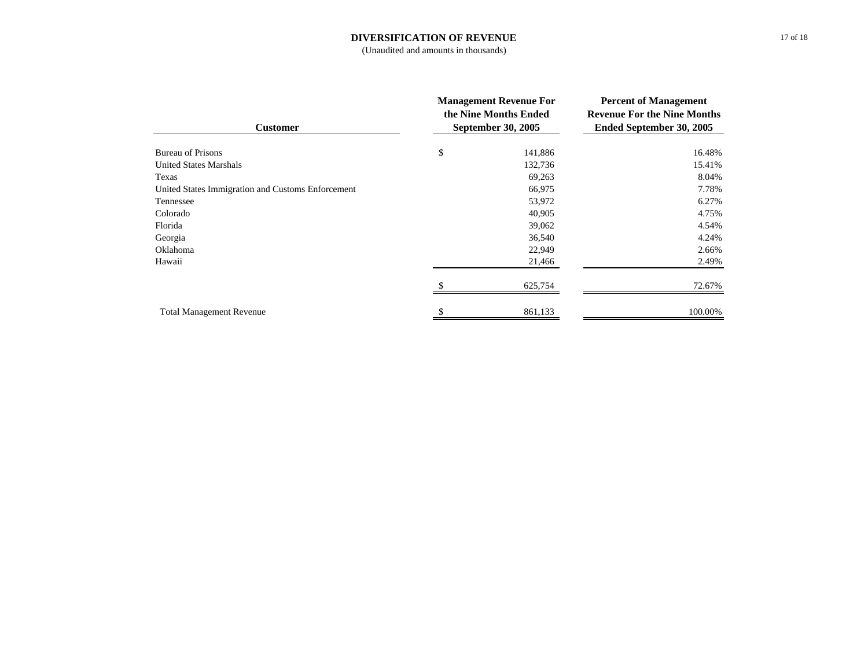#### **DIVERSIFICATION OF REVENUE**

(Unaudited and amounts in thousands)

| <b>Customer</b>                                   | <b>Management Revenue For</b><br>the Nine Months Ended<br><b>September 30, 2005</b> |         | <b>Percent of Management</b><br><b>Revenue For the Nine Months</b><br>Ended September 30, 2005 |  |
|---------------------------------------------------|-------------------------------------------------------------------------------------|---------|------------------------------------------------------------------------------------------------|--|
| <b>Bureau of Prisons</b>                          | \$                                                                                  | 141,886 | 16.48%                                                                                         |  |
| <b>United States Marshals</b>                     |                                                                                     | 132,736 | 15.41%                                                                                         |  |
| Texas                                             |                                                                                     | 69,263  | 8.04%                                                                                          |  |
| United States Immigration and Customs Enforcement |                                                                                     | 66,975  | 7.78%                                                                                          |  |
| Tennessee                                         |                                                                                     | 53,972  | 6.27%                                                                                          |  |
| Colorado                                          |                                                                                     | 40,905  | 4.75%                                                                                          |  |
| Florida                                           |                                                                                     | 39,062  | 4.54%                                                                                          |  |
| Georgia                                           |                                                                                     | 36,540  | 4.24%                                                                                          |  |
| Oklahoma                                          |                                                                                     | 22,949  | 2.66%                                                                                          |  |
| Hawaii                                            |                                                                                     | 21,466  | 2.49%                                                                                          |  |
|                                                   |                                                                                     | 625,754 | 72.67%                                                                                         |  |
| <b>Total Management Revenue</b>                   |                                                                                     | 861,133 | 100.00%                                                                                        |  |